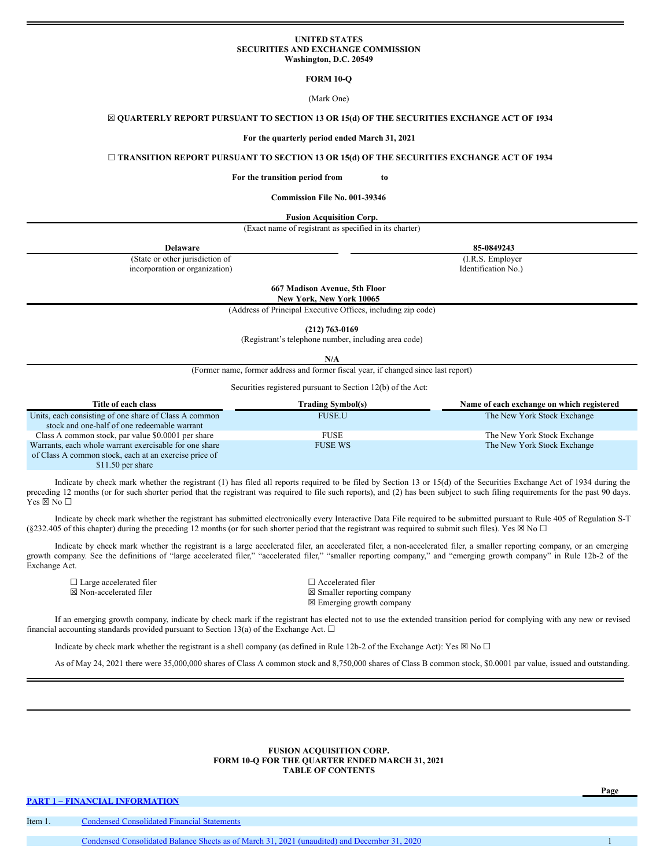### **UNITED STATES SECURITIES AND EXCHANGE COMMISSION Washington, D.C. 20549**

**FORM 10-Q**

# (Mark One)

#### ☒ **QUARTERLY REPORT PURSUANT TO SECTION 13 OR 15(d) OF THE SECURITIES EXCHANGE ACT OF 1934**

### **For the quarterly period ended March 31, 2021**

### ☐ **TRANSITION REPORT PURSUANT TO SECTION 13 OR 15(d) OF THE SECURITIES EXCHANGE ACT OF 1934**

#### **For the transition period from to**

#### **Commission File No. 001-39346**

### **Fusion Acquisition Corp.**

(Exact name of registrant as specified in its charter)

| (Exact name of registrant as specified in its charter) |                     |
|--------------------------------------------------------|---------------------|
| Delaware                                               | 85-0849243          |
| (State or other jurisdiction of                        | (I.R.S. Employer)   |
| incorporation or organization)                         | Identification No.) |

**667 Madison Avenue, 5th Floor New York, New York 10065**

(Address of Principal Executive Offices, including zip code)

**(212) 763-0169**

(Registrant's telephone number, including area code)

**N/A**

(Former name, former address and former fiscal year, if changed since last report)

Securities registered pursuant to Section 12(b) of the Act:

| Title of each class                                    | <b>Trading Symbol(s)</b> | Name of each exchange on which registered |
|--------------------------------------------------------|--------------------------|-------------------------------------------|
| Units, each consisting of one share of Class A common  | <b>FUSE.U</b>            | The New York Stock Exchange               |
| stock and one-half of one redeemable warrant           |                          |                                           |
| Class A common stock, par value \$0.0001 per share     | FUSE                     | The New York Stock Exchange               |
| Warrants, each whole warrant exercisable for one share | <b>FUSE WS</b>           | The New York Stock Exchange               |
| of Class A common stock, each at an exercise price of  |                          |                                           |

\$11.50 per share

Indicate by check mark whether the registrant (1) has filed all reports required to be filed by Section 13 or 15(d) of the Securities Exchange Act of 1934 during the preceding 12 months (or for such shorter period that the registrant was required to file such reports), and (2) has been subject to such filing requirements for the past 90 days.  $Yes \boxtimes No \Box$ 

Indicate by check mark whether the registrant has submitted electronically every Interactive Data File required to be submitted pursuant to Rule 405 of Regulation S-T (§232.405 of this chapter) during the preceding 12 months (or for such shorter period that the registrant was required to submit such files). Yes  $\boxtimes$  No  $\Box$ 

Indicate by check mark whether the registrant is a large accelerated filer, an accelerated filer, a non-accelerated filer, a smaller reporting company, or an emerging growth company. See the definitions of "large accelerated filer," "accelerated filer," "smaller reporting company," and "emerging growth company" in Rule 12b-2 of the Exchange Act.

☐ Large accelerated filer ☐ Accelerated filer

 $\boxtimes$  Non-accelerated filer  $\boxtimes$  Smaller reporting company ☒ Emerging growth company

If an emerging growth company, indicate by check mark if the registrant has elected not to use the extended transition period for complying with any new or revised financial accounting standards provided pursuant to Section 13(a) of the Exchange Act.  $\Box$ 

Indicate by check mark whether the registrant is a shell company (as defined in Rule 12b-2 of the Exchange Act): Yes  $\boxtimes$  No  $\Box$ 

As of May 24, 2021 there were 35,000,000 shares of Class A common stock and 8,750,000 shares of Class B common stock, \$0.0001 par value, issued and outstanding.

#### **FUSION ACQUISITION CORP. FORM 10-Q FOR THE QUARTER ENDED MARCH 31, 2021 TABLE OF CONTENTS**

**Page**

**PART 1 – FINANCIAL [INFORMATION](#page-1-0)**

| Item 1 | Condensed Consolidated Financial Statements                                                  |  |
|--------|----------------------------------------------------------------------------------------------|--|
|        |                                                                                              |  |
|        | Condensed Consolidated Balance Sheets as of March 31, 2021 (unaudited) and December 31, 2020 |  |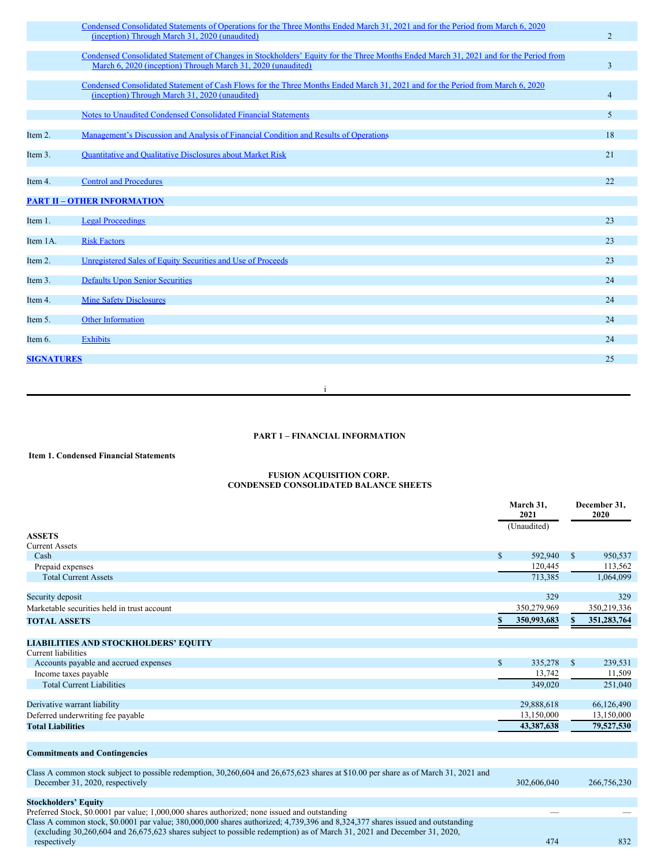|                   | Condensed Consolidated Statements of Operations for the Three Months Ended March 31, 2021 and for the Period from March 6, 2020<br>(inception) Through March 31, 2020 (unaudited)                     | 2              |
|-------------------|-------------------------------------------------------------------------------------------------------------------------------------------------------------------------------------------------------|----------------|
|                   | Condensed Consolidated Statement of Changes in Stockholders' Equity for the Three Months Ended March 31, 2021 and for the Period from<br>March 6, 2020 (inception) Through March 31, 2020 (unaudited) | $\overline{3}$ |
|                   | Condensed Consolidated Statement of Cash Flows for the Three Months Ended March 31, 2021 and for the Period from March 6, 2020<br>(inception) Through March 31, 2020 (unaudited)                      | $\overline{4}$ |
|                   | Notes to Unaudited Condensed Consolidated Financial Statements                                                                                                                                        | 5              |
| Item 2.           | Management's Discussion and Analysis of Financial Condition and Results of Operations                                                                                                                 | 18             |
| Item 3.           | <b>Quantitative and Qualitative Disclosures about Market Risk</b>                                                                                                                                     | 21             |
| Item 4.           | <b>Control and Procedures</b>                                                                                                                                                                         | 22             |
|                   | <b>PART II - OTHER INFORMATION</b>                                                                                                                                                                    |                |
| Item 1.           | <b>Legal Proceedings</b>                                                                                                                                                                              | 23             |
| Item 1A.          | <b>Risk Factors</b>                                                                                                                                                                                   | 23             |
| Item 2.           | Unregistered Sales of Equity Securities and Use of Proceeds                                                                                                                                           | 23             |
| Item 3.           | <b>Defaults Upon Senior Securities</b>                                                                                                                                                                | 24             |
| Item 4.           | <b>Mine Safety Disclosures</b>                                                                                                                                                                        | 24             |
| Item 5.           | <b>Other Information</b>                                                                                                                                                                              | 24             |
| Item 6.           | <b>Exhibits</b>                                                                                                                                                                                       | 24             |
| <b>SIGNATURES</b> |                                                                                                                                                                                                       | 25             |

i

# <span id="page-1-0"></span>**PART 1 – FINANCIAL INFORMATION**

# <span id="page-1-1"></span>**Item 1. Condensed Financial Statements**

#### <span id="page-1-2"></span>**FUSION ACQUISITION CORP. CONDENSED CONSOLIDATED BALANCE SHEETS**

|                                                                                                                                                                                                                                                           |              | March 31,<br>2021<br>(Unaudited) | December 31,<br>2020 |             |  |
|-----------------------------------------------------------------------------------------------------------------------------------------------------------------------------------------------------------------------------------------------------------|--------------|----------------------------------|----------------------|-------------|--|
| <b>ASSETS</b>                                                                                                                                                                                                                                             |              |                                  |                      |             |  |
| <b>Current Assets</b>                                                                                                                                                                                                                                     |              |                                  |                      |             |  |
| Cash                                                                                                                                                                                                                                                      | $\mathbb{S}$ | 592,940                          | \$                   | 950,537     |  |
| Prepaid expenses                                                                                                                                                                                                                                          |              | 120,445                          |                      | 113,562     |  |
| <b>Total Current Assets</b>                                                                                                                                                                                                                               |              | 713,385                          |                      | 1,064,099   |  |
| Security deposit                                                                                                                                                                                                                                          |              | 329                              |                      | 329         |  |
| Marketable securities held in trust account                                                                                                                                                                                                               |              | 350,279,969                      |                      | 350,219,336 |  |
| <b>TOTAL ASSETS</b>                                                                                                                                                                                                                                       |              | 350,993,683                      |                      | 351,283,764 |  |
|                                                                                                                                                                                                                                                           |              |                                  |                      |             |  |
| <b>LIABILITIES AND STOCKHOLDERS' EQUITY</b>                                                                                                                                                                                                               |              |                                  |                      |             |  |
| Current liabilities                                                                                                                                                                                                                                       |              |                                  |                      |             |  |
| Accounts payable and accrued expenses                                                                                                                                                                                                                     | $\mathbb{S}$ | 335,278                          | $\mathbb{S}$         | 239,531     |  |
| Income taxes payable                                                                                                                                                                                                                                      |              | 13,742                           |                      | 11,509      |  |
| <b>Total Current Liabilities</b>                                                                                                                                                                                                                          |              | 349,020                          |                      | 251,040     |  |
| Derivative warrant liability                                                                                                                                                                                                                              |              | 29,888,618                       |                      | 66,126,490  |  |
| Deferred underwriting fee payable                                                                                                                                                                                                                         |              | 13.150.000                       |                      | 13,150,000  |  |
| <b>Total Liabilities</b>                                                                                                                                                                                                                                  |              | 43,387,638                       |                      | 79,527,530  |  |
|                                                                                                                                                                                                                                                           |              |                                  |                      |             |  |
| <b>Commitments and Contingencies</b>                                                                                                                                                                                                                      |              |                                  |                      |             |  |
| Class A common stock subject to possible redemption, 30,260,604 and 26,675,623 shares at \$10.00 per share as of March 31, 2021 and<br>December 31, 2020, respectively                                                                                    |              | 302,606,040                      |                      | 266,756,230 |  |
| <b>Stockholders' Equity</b>                                                                                                                                                                                                                               |              |                                  |                      |             |  |
| Preferred Stock, \$0.0001 par value; 1,000,000 shares authorized; none issued and outstanding                                                                                                                                                             |              |                                  |                      |             |  |
| Class A common stock, \$0.0001 par value; 380,000,000 shares authorized; 4,739,396 and 8,324,377 shares issued and outstanding<br>(excluding 30,260,604 and 26,675,623 shares subject to possible redemption) as of March 31, 2021 and December 31, 2020, |              | 474                              |                      | 832         |  |
| respectively                                                                                                                                                                                                                                              |              |                                  |                      |             |  |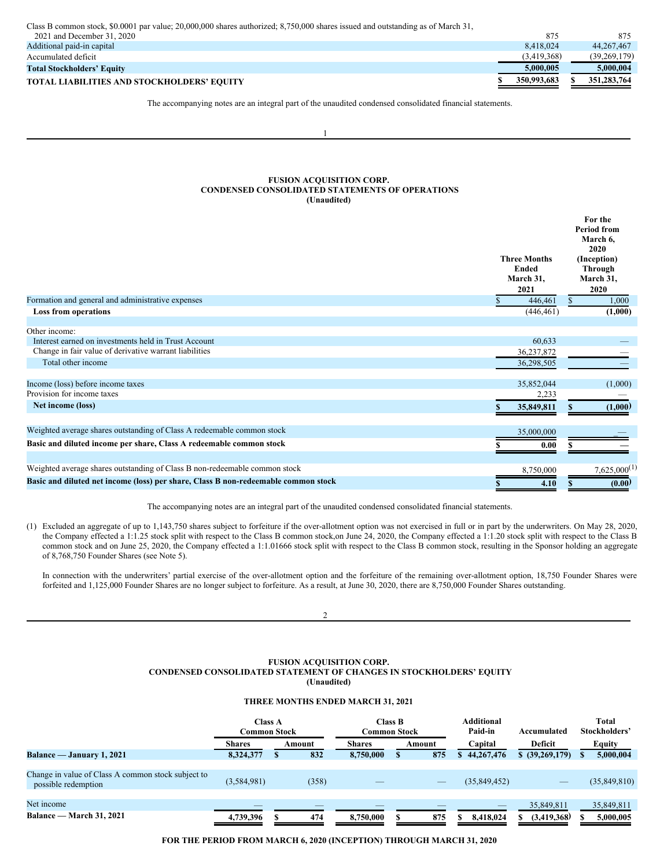Class B common stock, \$0.0001 par value; 20,000,000 shares authorized; 8,750,000 shares issued and outstanding as of March 31,

| 2021 and December 31, 2020                        | 875         | 875          |
|---------------------------------------------------|-------------|--------------|
| Additional paid-in capital                        | 8.418.024   | 44, 267, 467 |
| Accumulated deficit                               | (3.419.368) | (39.269.179) |
| <b>Total Stockholders' Equity</b>                 | 5.000.005   | 5.000.004    |
| <b>TOTAL LIABILITIES AND STOCKHOLDERS' EQUITY</b> | 350,993,683 | 351,283,764  |

The accompanying notes are an integral part of the unaudited condensed consolidated financial statements.

1

### <span id="page-2-0"></span>**FUSION ACQUISITION CORP. CONDENSED CONSOLIDATED STATEMENTS OF OPERATIONS (Unaudited)**

|                                                                                    | <b>Three Months</b><br><b>Ended</b><br>March 31,<br>2021 | For the<br><b>Period from</b><br>March 6,<br>2020<br>(Inception)<br>Through<br>March 31,<br>2020 |
|------------------------------------------------------------------------------------|----------------------------------------------------------|--------------------------------------------------------------------------------------------------|
| Formation and general and administrative expenses                                  | 446,461                                                  | 1,000<br><sup>S</sup>                                                                            |
| <b>Loss from operations</b>                                                        | (446, 461)                                               | (1,000)                                                                                          |
| Other income:                                                                      |                                                          |                                                                                                  |
| Interest earned on investments held in Trust Account                               | 60.633                                                   |                                                                                                  |
| Change in fair value of derivative warrant liabilities                             | 36,237,872                                               |                                                                                                  |
| Total other income                                                                 | 36,298,505                                               |                                                                                                  |
| Income (loss) before income taxes                                                  | 35,852,044                                               | (1,000)                                                                                          |
| Provision for income taxes                                                         | 2,233                                                    |                                                                                                  |
| Net income (loss)                                                                  | 35,849,811                                               | (1,000)                                                                                          |
| Weighted average shares outstanding of Class A redeemable common stock             | 35,000,000                                               |                                                                                                  |
| Basic and diluted income per share, Class A redeemable common stock                | 0.00                                                     |                                                                                                  |
|                                                                                    |                                                          |                                                                                                  |
| Weighted average shares outstanding of Class B non-redeemable common stock         | 8,750,000                                                | $7,625,000^{(1)}$                                                                                |
| Basic and diluted net income (loss) per share, Class B non-redeemable common stock | 4.10<br>S                                                | (0.00)<br>S                                                                                      |

The accompanying notes are an integral part of the unaudited condensed consolidated financial statements.

(1) Excluded an aggregate of up to 1,143,750 shares subject to forfeiture if the over-allotment option was not exercised in full or in part by the underwriters. On May 28, 2020, the Company effected a 1:1.25 stock split with respect to the Class B common stock,on June 24, 2020, the Company effected a 1:1.20 stock split with respect to the Class B common stock and on June 25, 2020, the Company effected a 1:1.01666 stock split with respect to the Class B common stock, resulting in the Sponsor holding an aggregate of 8,768,750 Founder Shares (see Note 5).

In connection with the underwriters' partial exercise of the over-allotment option and the forfeiture of the remaining over-allotment option, 18,750 Founder Shares were forfeited and 1,125,000 Founder Shares are no longer subject to forfeiture. As a result, at June 30, 2020, there are 8,750,000 Founder Shares outstanding.

 $\mathcal{L}$ 

### <span id="page-2-1"></span>**FUSION ACQUISITION CORP. CONDENSED CONSOLIDATED STATEMENT OF CHANGES IN STOCKHOLDERS' EQUITY (Unaudited)**

### **THREE MONTHS ENDED MARCH 31, 2021**

|                                                                           | <b>Class A</b><br>Common Stock |  | Class B<br>Common Stock |               |  | <b>Additional</b><br>Paid-in | Accumulated      | <b>Total</b><br>Stockholders' |              |
|---------------------------------------------------------------------------|--------------------------------|--|-------------------------|---------------|--|------------------------------|------------------|-------------------------------|--------------|
|                                                                           | <b>Shares</b>                  |  | Amount                  | <b>Shares</b> |  | Amount                       | Capital          | Deficit                       | Equity       |
| Balance — January 1, 2021                                                 | 8,324,377                      |  | 832                     | 8.750.000     |  | 875                          | 44,267,476<br>S. | \$ (39, 269, 179)             | 5,000,004    |
|                                                                           |                                |  |                         |               |  |                              |                  |                               |              |
| Change in value of Class A common stock subject to<br>possible redemption | (3, 584, 981)                  |  | (358)                   |               |  | _                            | (35,849,452)     | $\overline{\phantom{a}}$      | (35,849,810) |
|                                                                           |                                |  |                         |               |  |                              |                  |                               |              |
| Net income                                                                |                                |  |                         |               |  |                              |                  | 35,849,811                    | 35,849,811   |
| Balance — March 31, 2021                                                  | 4,739,396                      |  | 474                     | 8.750.000     |  | 875                          | 8,418,024        | (3, 419, 368)                 | 5,000,005    |

**FOR THE PERIOD FROM MARCH 6, 2020 (INCEPTION) THROUGH MARCH 31, 2020**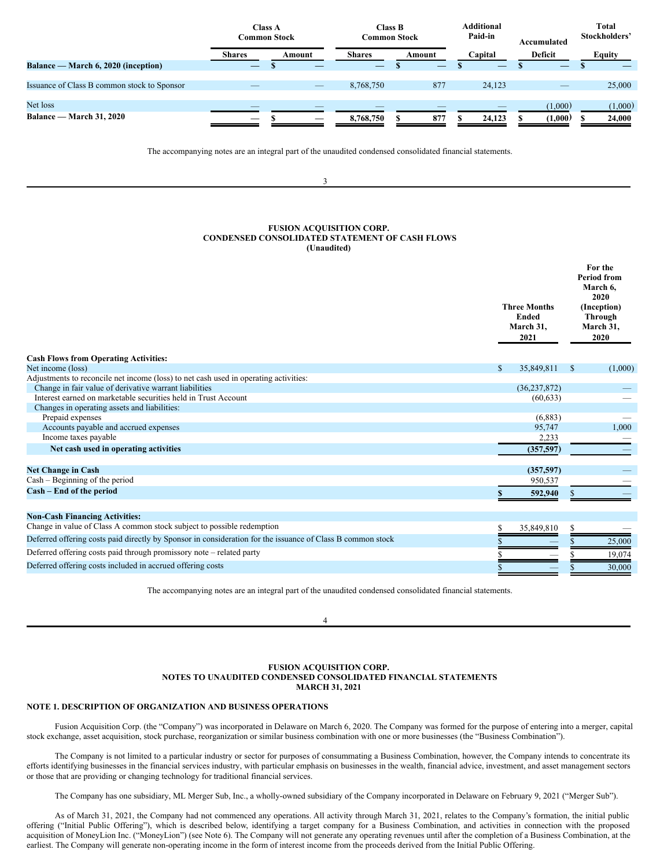|                                             | <b>Class A</b><br>Common Stock |  |                                 | <b>Class B</b><br>Common Stock |  |        |  | <b>Additional</b><br>Paid-in | Accumulated                     | Total<br>Stockholders' |         |  |
|---------------------------------------------|--------------------------------|--|---------------------------------|--------------------------------|--|--------|--|------------------------------|---------------------------------|------------------------|---------|--|
|                                             | <b>Shares</b>                  |  | Amount                          | <b>Shares</b>                  |  | Amount |  | Capital                      | Deficit                         |                        | Equity  |  |
| Balance — March 6, 2020 (inception)         |                                |  |                                 |                                |  |        |  |                              |                                 |                        |         |  |
|                                             |                                |  |                                 |                                |  |        |  |                              |                                 |                        |         |  |
| Issuance of Class B common stock to Sponsor |                                |  | $\hspace{0.1mm}-\hspace{0.1mm}$ | 8.768.750                      |  | 877    |  | 24.123                       | $\hspace{0.1mm}-\hspace{0.1mm}$ |                        | 25,000  |  |
|                                             |                                |  |                                 |                                |  |        |  |                              |                                 |                        |         |  |
| Net loss                                    | _                              |  |                                 |                                |  |        |  | _                            | (1,000)                         |                        | (1,000) |  |
| <b>Balance — March 31, 2020</b>             |                                |  |                                 | 8,768,750                      |  | 877    |  | 24,123                       | (1,000)                         |                        | 24,000  |  |

The accompanying notes are an integral part of the unaudited condensed consolidated financial statements.

3

### <span id="page-3-0"></span>**FUSION ACQUISITION CORP. CONDENSED CONSOLIDATED STATEMENT OF CASH FLOWS (Unaudited)**

|                                                                                                            |    | <b>Three Months</b><br>Ended<br>March 31,<br>2021 | For the<br><b>Period from</b><br>March 6,<br>2020<br>(Inception)<br><b>Through</b><br>March 31,<br>2020 |  |
|------------------------------------------------------------------------------------------------------------|----|---------------------------------------------------|---------------------------------------------------------------------------------------------------------|--|
| <b>Cash Flows from Operating Activities:</b>                                                               |    |                                                   |                                                                                                         |  |
| Net income (loss)                                                                                          | S. | 35,849,811                                        | (1,000)<br><sup>S</sup>                                                                                 |  |
| Adjustments to reconcile net income (loss) to net cash used in operating activities:                       |    |                                                   |                                                                                                         |  |
| Change in fair value of derivative warrant liabilities                                                     |    | (36, 237, 872)                                    |                                                                                                         |  |
| Interest earned on marketable securities held in Trust Account                                             |    | (60, 633)                                         |                                                                                                         |  |
| Changes in operating assets and liabilities:                                                               |    |                                                   |                                                                                                         |  |
| Prepaid expenses                                                                                           |    | (6,883)                                           |                                                                                                         |  |
| Accounts payable and accrued expenses                                                                      |    | 95,747                                            | 1.000                                                                                                   |  |
| Income taxes payable                                                                                       |    | 2,233                                             |                                                                                                         |  |
| Net cash used in operating activities                                                                      |    | (357,597)                                         |                                                                                                         |  |
| <b>Net Change in Cash</b>                                                                                  |    | (357,597)                                         |                                                                                                         |  |
| Cash - Beginning of the period                                                                             |    | 950,537                                           |                                                                                                         |  |
| Cash - End of the period                                                                                   | S  | 592,940                                           |                                                                                                         |  |
| <b>Non-Cash Financing Activities:</b>                                                                      |    |                                                   |                                                                                                         |  |
| Change in value of Class A common stock subject to possible redemption                                     |    | 35,849,810                                        |                                                                                                         |  |
| Deferred offering costs paid directly by Sponsor in consideration for the issuance of Class B common stock |    |                                                   | 25,000                                                                                                  |  |
| Deferred offering costs paid through promissory note – related party                                       |    |                                                   | 19,074                                                                                                  |  |
| Deferred offering costs included in accrued offering costs                                                 |    |                                                   | 30,000                                                                                                  |  |
|                                                                                                            |    |                                                   |                                                                                                         |  |

The accompanying notes are an integral part of the unaudited condensed consolidated financial statements.

 $\Delta$ 

### <span id="page-3-1"></span>**FUSION ACQUISITION CORP. NOTES TO UNAUDITED CONDENSED CONSOLIDATED FINANCIAL STATEMENTS MARCH 31, 2021**

## **NOTE 1. DESCRIPTION OF ORGANIZATION AND BUSINESS OPERATIONS**

Fusion Acquisition Corp. (the "Company") was incorporated in Delaware on March 6, 2020. The Company was formed for the purpose of entering into a merger, capital stock exchange, asset acquisition, stock purchase, reorganization or similar business combination with one or more businesses (the "Business Combination").

The Company is not limited to a particular industry or sector for purposes of consummating a Business Combination, however, the Company intends to concentrate its efforts identifying businesses in the financial services industry, with particular emphasis on businesses in the wealth, financial advice, investment, and asset management sectors or those that are providing or changing technology for traditional financial services.

The Company has one subsidiary, ML Merger Sub, Inc., a wholly-owned subsidiary of the Company incorporated in Delaware on February 9, 2021 ("Merger Sub").

As of March 31, 2021, the Company had not commenced any operations. All activity through March 31, 2021, relates to the Company's formation, the initial public offering ("Initial Public Offering"), which is described below, identifying a target company for a Business Combination, and activities in connection with the proposed acquisition of MoneyLion Inc. ("MoneyLion") (see Note 6). The Company will not generate any operating revenues until after the completion of a Business Combination, at the earliest. The Company will generate non-operating income in the form of interest income from the proceeds derived from the Initial Public Offering.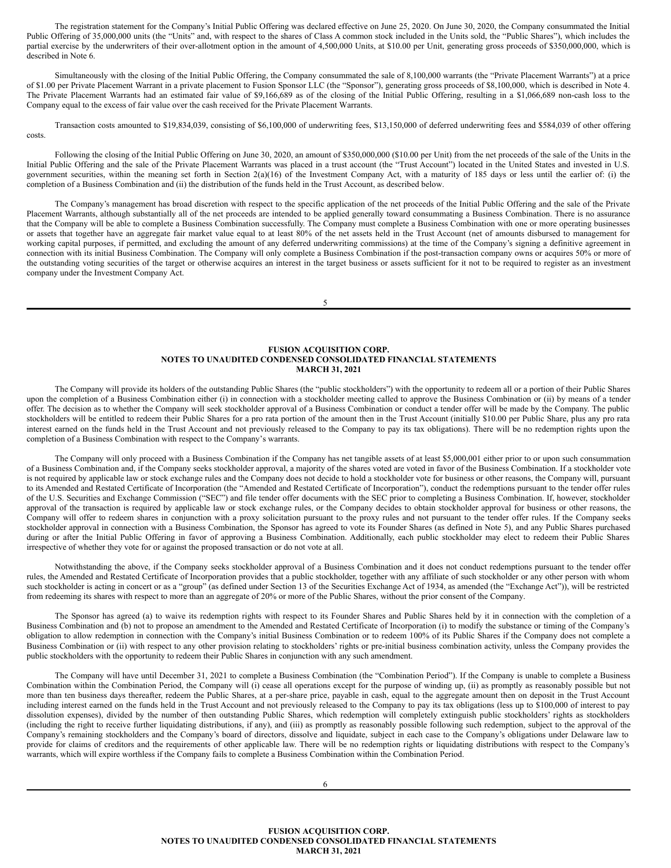The registration statement for the Company's Initial Public Offering was declared effective on June 25, 2020. On June 30, 2020, the Company consummated the Initial Public Offering of 35,000,000 units (the "Units" and, with respect to the shares of Class A common stock included in the Units sold, the "Public Shares"), which includes the partial exercise by the underwriters of their over-allotment option in the amount of 4,500,000 Units, at \$10.00 per Unit, generating gross proceeds of \$350,000,000, which is described in Note 6.

Simultaneously with the closing of the Initial Public Offering, the Company consummated the sale of 8,100,000 warrants (the "Private Placement Warrants") at a price of \$1.00 per Private Placement Warrant in a private placement to Fusion Sponsor LLC (the "Sponsor"), generating gross proceeds of \$8,100,000, which is described in Note 4. The Private Placement Warrants had an estimated fair value of \$9,166,689 as of the closing of the Initial Public Offering, resulting in a \$1,066,689 non-cash loss to the Company equal to the excess of fair value over the cash received for the Private Placement Warrants.

Transaction costs amounted to \$19,834,039, consisting of \$6,100,000 of underwriting fees, \$13,150,000 of deferred underwriting fees and \$584,039 of other offering costs.

Following the closing of the Initial Public Offering on June 30, 2020, an amount of \$350,000,000 (\$10.00 per Unit) from the net proceeds of the sale of the Units in the Initial Public Offering and the sale of the Private Placement Warrants was placed in a trust account (the "Trust Account") located in the United States and invested in U.S. government securities, within the meaning set forth in Section 2(a)(16) of the Investment Company Act, with a maturity of 185 days or less until the earlier of: (i) the completion of a Business Combination and (ii) the distribution of the funds held in the Trust Account, as described below.

The Company's management has broad discretion with respect to the specific application of the net proceeds of the Initial Public Offering and the sale of the Private Placement Warrants, although substantially all of the net proceeds are intended to be applied generally toward consummating a Business Combination. There is no assurance that the Company will be able to complete a Business Combination successfully. The Company must complete a Business Combination with one or more operating businesses or assets that together have an aggregate fair market value equal to at least 80% of the net assets held in the Trust Account (net of amounts disbursed to management for working capital purposes, if permitted, and excluding the amount of any deferred underwriting commissions) at the time of the Company's signing a definitive agreement in connection with its initial Business Combination. The Company will only complete a Business Combination if the post-transaction company owns or acquires 50% or more of the outstanding voting securities of the target or otherwise acquires an interest in the target business or assets sufficient for it not to be required to register as an investment company under the Investment Company Act.

5

### **FUSION ACQUISITION CORP. NOTES TO UNAUDITED CONDENSED CONSOLIDATED FINANCIAL STATEMENTS MARCH 31, 2021**

The Company will provide its holders of the outstanding Public Shares (the "public stockholders") with the opportunity to redeem all or a portion of their Public Shares upon the completion of a Business Combination either (i) in connection with a stockholder meeting called to approve the Business Combination or (ii) by means of a tender offer. The decision as to whether the Company will seek stockholder approval of a Business Combination or conduct a tender offer will be made by the Company. The public stockholders will be entitled to redeem their Public Shares for a pro rata portion of the amount then in the Trust Account (initially \$10.00 per Public Share, plus any pro rata interest earned on the funds held in the Trust Account and not previously released to the Company to pay its tax obligations). There will be no redemption rights upon the completion of a Business Combination with respect to the Company's warrants.

The Company will only proceed with a Business Combination if the Company has net tangible assets of at least \$5,000,001 either prior to or upon such consummation of a Business Combination and, if the Company seeks stockholder approval, a majority of the shares voted are voted in favor of the Business Combination. If a stockholder vote is not required by applicable law or stock exchange rules and the Company does not decide to hold a stockholder vote for business or other reasons, the Company will, pursuant to its Amended and Restated Certificate of Incorporation (the "Amended and Restated Certificate of Incorporation"), conduct the redemptions pursuant to the tender offer rules of the U.S. Securities and Exchange Commission ("SEC") and file tender offer documents with the SEC prior to completing a Business Combination. If, however, stockholder approval of the transaction is required by applicable law or stock exchange rules, or the Company decides to obtain stockholder approval for business or other reasons, the Company will offer to redeem shares in conjunction with a proxy solicitation pursuant to the proxy rules and not pursuant to the tender offer rules. If the Company seeks stockholder approval in connection with a Business Combination, the Sponsor has agreed to vote its Founder Shares (as defined in Note 5), and any Public Shares purchased during or after the Initial Public Offering in favor of approving a Business Combination. Additionally, each public stockholder may elect to redeem their Public Shares irrespective of whether they vote for or against the proposed transaction or do not vote at all.

Notwithstanding the above, if the Company seeks stockholder approval of a Business Combination and it does not conduct redemptions pursuant to the tender offer rules, the Amended and Restated Certificate of Incorporation provides that a public stockholder, together with any affiliate of such stockholder or any other person with whom such stockholder is acting in concert or as a "group" (as defined under Section 13 of the Securities Exchange Act of 1934, as amended (the "Exchange Act")), will be restricted from redeeming its shares with respect to more than an aggregate of 20% or more of the Public Shares, without the prior consent of the Company.

The Sponsor has agreed (a) to waive its redemption rights with respect to its Founder Shares and Public Shares held by it in connection with the completion of a Business Combination and (b) not to propose an amendment to the Amended and Restated Certificate of Incorporation (i) to modify the substance or timing of the Company's obligation to allow redemption in connection with the Company's initial Business Combination or to redeem 100% of its Public Shares if the Company does not complete a Business Combination or (ii) with respect to any other provision relating to stockholders' rights or pre-initial business combination activity, unless the Company provides the public stockholders with the opportunity to redeem their Public Shares in conjunction with any such amendment.

The Company will have until December 31, 2021 to complete a Business Combination (the "Combination Period"). If the Company is unable to complete a Business Combination within the Combination Period, the Company will (i) cease all operations except for the purpose of winding up, (ii) as promptly as reasonably possible but not more than ten business days thereafter, redeem the Public Shares, at a per-share price, payable in cash, equal to the aggregate amount then on deposit in the Trust Account including interest earned on the funds held in the Trust Account and not previously released to the Company to pay its tax obligations (less up to \$100,000 of interest to pay dissolution expenses), divided by the number of then outstanding Public Shares, which redemption will completely extinguish public stockholders' rights as stockholders (including the right to receive further liquidating distributions, if any), and (iii) as promptly as reasonably possible following such redemption, subject to the approval of the Company's remaining stockholders and the Company's board of directors, dissolve and liquidate, subject in each case to the Company's obligations under Delaware law to provide for claims of creditors and the requirements of other applicable law. There will be no redemption rights or liquidating distributions with respect to the Company's warrants, which will expire worthless if the Company fails to complete a Business Combination within the Combination Period.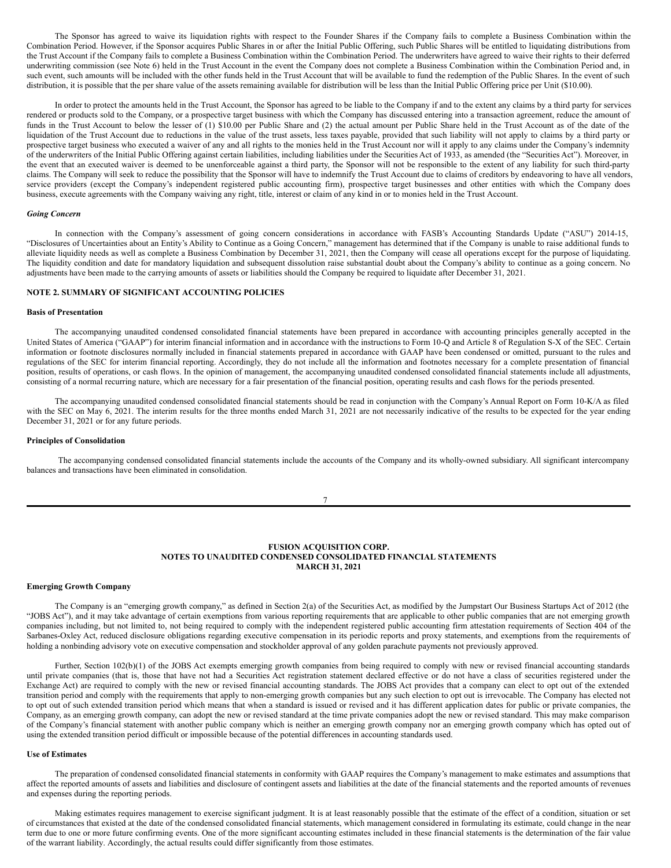The Sponsor has agreed to waive its liquidation rights with respect to the Founder Shares if the Company fails to complete a Business Combination within the Combination Period. However, if the Sponsor acquires Public Shares in or after the Initial Public Offering, such Public Shares will be entitled to liquidating distributions from the Trust Account if the Company fails to complete a Business Combination within the Combination Period. The underwriters have agreed to waive their rights to their deferred underwriting commission (see Note 6) held in the Trust Account in the event the Company does not complete a Business Combination within the Combination Period and, in such event, such amounts will be included with the other funds held in the Trust Account that will be available to fund the redemption of the Public Shares. In the event of such distribution, it is possible that the per share value of the assets remaining available for distribution will be less than the Initial Public Offering price per Unit (\$10.00).

In order to protect the amounts held in the Trust Account, the Sponsor has agreed to be liable to the Company if and to the extent any claims by a third party for services rendered or products sold to the Company, or a prospective target business with which the Company has discussed entering into a transaction agreement, reduce the amount of funds in the Trust Account to below the lesser of (1) \$10.00 per Public Share and (2) the actual amount per Public Share held in the Trust Account as of the date of the liquidation of the Trust Account due to reductions in the value of the trust assets, less taxes payable, provided that such liability will not apply to claims by a third party or prospective target business who executed a waiver of any and all rights to the monies held in the Trust Account nor will it apply to any claims under the Company's indemnity of the underwriters of the Initial Public Offering against certain liabilities, including liabilities under the Securities Act of 1933, as amended (the "Securities Act"). Moreover, in the event that an executed waiver is deemed to be unenforceable against a third party, the Sponsor will not be responsible to the extent of any liability for such third-party claims. The Company will seek to reduce the possibility that the Sponsor will have to indemnify the Trust Account due to claims of creditors by endeavoring to have all vendors, service providers (except the Company's independent registered public accounting firm), prospective target businesses and other entities with which the Company does business, execute agreements with the Company waiving any right, title, interest or claim of any kind in or to monies held in the Trust Account.

#### *Going Concern*

In connection with the Company's assessment of going concern considerations in accordance with FASB's Accounting Standards Update ("ASU") 2014-15, "Disclosures of Uncertainties about an Entity's Ability to Continue as a Going Concern," management has determined that if the Company is unable to raise additional funds to alleviate liquidity needs as well as complete a Business Combination by December 31, 2021, then the Company will cease all operations except for the purpose of liquidating. The liquidity condition and date for mandatory liquidation and subsequent dissolution raise substantial doubt about the Company's ability to continue as a going concern. No adjustments have been made to the carrying amounts of assets or liabilities should the Company be required to liquidate after December 31, 2021.

### **NOTE 2. SUMMARY OF SIGNIFICANT ACCOUNTING POLICIES**

### **Basis of Presentation**

The accompanying unaudited condensed consolidated financial statements have been prepared in accordance with accounting principles generally accepted in the United States of America ("GAAP") for interim financial information and in accordance with the instructions to Form 10-Q and Article 8 of Regulation S-X of the SEC. Certain information or footnote disclosures normally included in financial statements prepared in accordance with GAAP have been condensed or omitted, pursuant to the rules and regulations of the SEC for interim financial reporting. Accordingly, they do not include all the information and footnotes necessary for a complete presentation of financial position, results of operations, or cash flows. In the opinion of management, the accompanying unaudited condensed consolidated financial statements include all adjustments, consisting of a normal recurring nature, which are necessary for a fair presentation of the financial position, operating results and cash flows for the periods presented.

The accompanying unaudited condensed consolidated financial statements should be read in conjunction with the Company's Annual Report on Form 10-K/A as filed with the SEC on May 6, 2021. The interim results for the three months ended March 31, 2021 are not necessarily indicative of the results to be expected for the year ending December 31, 2021 or for any future periods.

# **Principles of Consolidation**

The accompanying condensed consolidated financial statements include the accounts of the Company and its wholly-owned subsidiary. All significant intercompany balances and transactions have been eliminated in consolidation.

#### 7

### **FUSION ACQUISITION CORP. NOTES TO UNAUDITED CONDENSED CONSOLIDATED FINANCIAL STATEMENTS MARCH 31, 2021**

#### **Emerging Growth Company**

The Company is an "emerging growth company," as defined in Section 2(a) of the Securities Act, as modified by the Jumpstart Our Business Startups Act of 2012 (the "JOBS Act"), and it may take advantage of certain exemptions from various reporting requirements that are applicable to other public companies that are not emerging growth companies including, but not limited to, not being required to comply with the independent registered public accounting firm attestation requirements of Section 404 of the Sarbanes-Oxley Act, reduced disclosure obligations regarding executive compensation in its periodic reports and proxy statements, and exemptions from the requirements of holding a nonbinding advisory vote on executive compensation and stockholder approval of any golden parachute payments not previously approved.

Further, Section 102(b)(1) of the JOBS Act exempts emerging growth companies from being required to comply with new or revised financial accounting standards until private companies (that is, those that have not had a Securities Act registration statement declared effective or do not have a class of securities registered under the Exchange Act) are required to comply with the new or revised financial accounting standards. The JOBS Act provides that a company can elect to opt out of the extended transition period and comply with the requirements that apply to non-emerging growth companies but any such election to opt out is irrevocable. The Company has elected not to opt out of such extended transition period which means that when a standard is issued or revised and it has different application dates for public or private companies, the Company, as an emerging growth company, can adopt the new or revised standard at the time private companies adopt the new or revised standard. This may make comparison of the Company's financial statement with another public company which is neither an emerging growth company nor an emerging growth company which has opted out of using the extended transition period difficult or impossible because of the potential differences in accounting standards used.

### **Use of Estimates**

The preparation of condensed consolidated financial statements in conformity with GAAP requires the Company's management to make estimates and assumptions that affect the reported amounts of assets and liabilities and disclosure of contingent assets and liabilities at the date of the financial statements and the reported amounts of revenues and expenses during the reporting periods.

Making estimates requires management to exercise significant judgment. It is at least reasonably possible that the estimate of the effect of a condition, situation or set of circumstances that existed at the date of the condensed consolidated financial statements, which management considered in formulating its estimate, could change in the near term due to one or more future confirming events. One of the more significant accounting estimates included in these financial statements is the determination of the fair value of the warrant liability. Accordingly, the actual results could differ significantly from those estimates.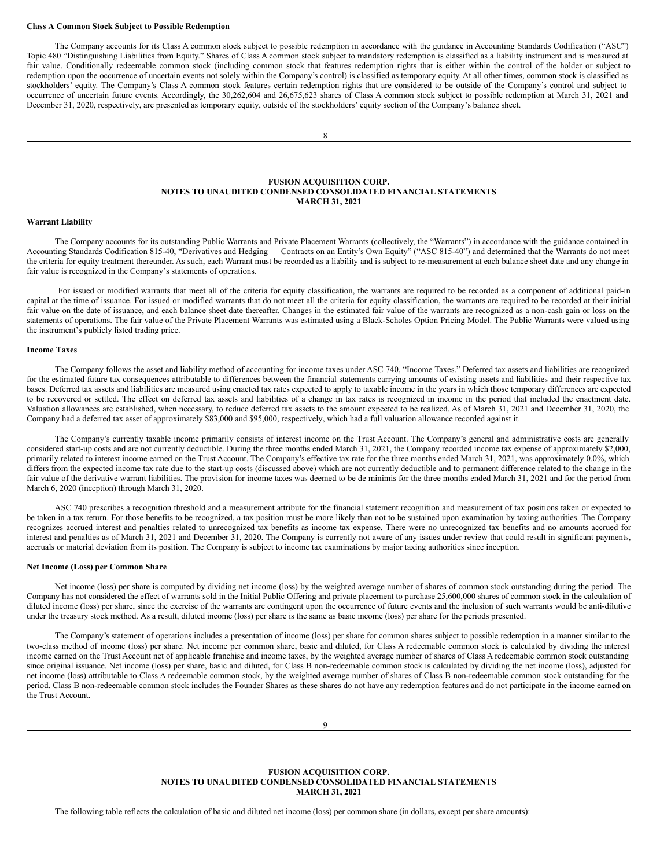#### **Class A Common Stock Subject to Possible Redemption**

The Company accounts for its Class A common stock subject to possible redemption in accordance with the guidance in Accounting Standards Codification ("ASC") Topic 480 "Distinguishing Liabilities from Equity." Shares of Class A common stock subject to mandatory redemption is classified as a liability instrument and is measured at fair value. Conditionally redeemable common stock (including common stock that features redemption rights that is either within the control of the holder or subject to redemption upon the occurrence of uncertain events not solely within the Company's control) is classified as temporary equity. At all other times, common stock is classified as stockholders' equity. The Company's Class A common stock features certain redemption rights that are considered to be outside of the Company's control and subject to occurrence of uncertain future events. Accordingly, the 30,262,604 and 26,675,623 shares of Class A common stock subject to possible redemption at March 31, 2021 and December 31, 2020, respectively, are presented as temporary equity, outside of the stockholders' equity section of the Company's balance sheet.

### **FUSION ACQUISITION CORP. NOTES TO UNAUDITED CONDENSED CONSOLIDATED FINANCIAL STATEMENTS MARCH 31, 2021**

### **Warrant Liability**

The Company accounts for its outstanding Public Warrants and Private Placement Warrants (collectively, the "Warrants") in accordance with the guidance contained in Accounting Standards Codification 815-40, "Derivatives and Hedging — Contracts on an Entity's Own Equity" ("ASC 815-40") and determined that the Warrants do not meet the criteria for equity treatment thereunder. As such, each Warrant must be recorded as a liability and is subject to re-measurement at each balance sheet date and any change in fair value is recognized in the Company's statements of operations.

For issued or modified warrants that meet all of the criteria for equity classification, the warrants are required to be recorded as a component of additional paid-in capital at the time of issuance. For issued or modified warrants that do not meet all the criteria for equity classification, the warrants are required to be recorded at their initial fair value on the date of issuance, and each balance sheet date thereafter. Changes in the estimated fair value of the warrants are recognized as a non-cash gain or loss on the statements of operations. The fair value of the Private Placement Warrants was estimated using a Black-Scholes Option Pricing Model. The Public Warrants were valued using the instrument's publicly listed trading price.

### **Income Taxes**

The Company follows the asset and liability method of accounting for income taxes under ASC 740, "Income Taxes." Deferred tax assets and liabilities are recognized for the estimated future tax consequences attributable to differences between the financial statements carrying amounts of existing assets and liabilities and their respective tax bases. Deferred tax assets and liabilities are measured using enacted tax rates expected to apply to taxable income in the years in which those temporary differences are expected to be recovered or settled. The effect on deferred tax assets and liabilities of a change in tax rates is recognized in income in the period that included the enactment date. Valuation allowances are established, when necessary, to reduce deferred tax assets to the amount expected to be realized. As of March 31, 2021 and December 31, 2020, the Company had a deferred tax asset of approximately \$83,000 and \$95,000, respectively, which had a full valuation allowance recorded against it.

The Company's currently taxable income primarily consists of interest income on the Trust Account. The Company's general and administrative costs are generally considered start-up costs and are not currently deductible. During the three months ended March 31, 2021, the Company recorded income tax expense of approximately \$2,000, primarily related to interest income earned on the Trust Account. The Company's effective tax rate for the three months ended March 31, 2021, was approximately 0.0%, which differs from the expected income tax rate due to the start-up costs (discussed above) which are not currently deductible and to permanent difference related to the change in the fair value of the derivative warrant liabilities. The provision for income taxes was deemed to be de minimis for the three months ended March 31, 2021 and for the period from March 6, 2020 (inception) through March 31, 2020.

ASC 740 prescribes a recognition threshold and a measurement attribute for the financial statement recognition and measurement of tax positions taken or expected to be taken in a tax return. For those benefits to be recognized, a tax position must be more likely than not to be sustained upon examination by taxing authorities. The Company recognizes accrued interest and penalties related to unrecognized tax benefits as income tax expense. There were no unrecognized tax benefits and no amounts accrued for interest and penalties as of March 31, 2021 and December 31, 2020. The Company is currently not aware of any issues under review that could result in significant payments, accruals or material deviation from its position. The Company is subject to income tax examinations by major taxing authorities since inception.

#### **Net Income (Loss) per Common Share**

Net income (loss) per share is computed by dividing net income (loss) by the weighted average number of shares of common stock outstanding during the period. The Company has not considered the effect of warrants sold in the Initial Public Offering and private placement to purchase 25,600,000 shares of common stock in the calculation of diluted income (loss) per share, since the exercise of the warrants are contingent upon the occurrence of future events and the inclusion of such warrants would be anti-dilutive under the treasury stock method. As a result, diluted income (loss) per share is the same as basic income (loss) per share for the periods presented.

The Company's statement of operations includes a presentation of income (loss) per share for common shares subject to possible redemption in a manner similar to the two-class method of income (loss) per share. Net income per common share, basic and diluted, for Class A redeemable common stock is calculated by dividing the interest income earned on the Trust Account net of applicable franchise and income taxes, by the weighted average number of shares of Class A redeemable common stock outstanding since original issuance. Net income (loss) per share, basic and diluted, for Class B non-redeemable common stock is calculated by dividing the net income (loss), adjusted for net income (loss) attributable to Class A redeemable common stock, by the weighted average number of shares of Class B non-redeemable common stock outstanding for the period. Class B non-redeemable common stock includes the Founder Shares as these shares do not have any redemption features and do not participate in the income earned on the Trust Account.

### **FUSION ACQUISITION CORP. NOTES TO UNAUDITED CONDENSED CONSOLIDATED FINANCIAL STATEMENTS MARCH 31, 2021**

The following table reflects the calculation of basic and diluted net income (loss) per common share (in dollars, except per share amounts):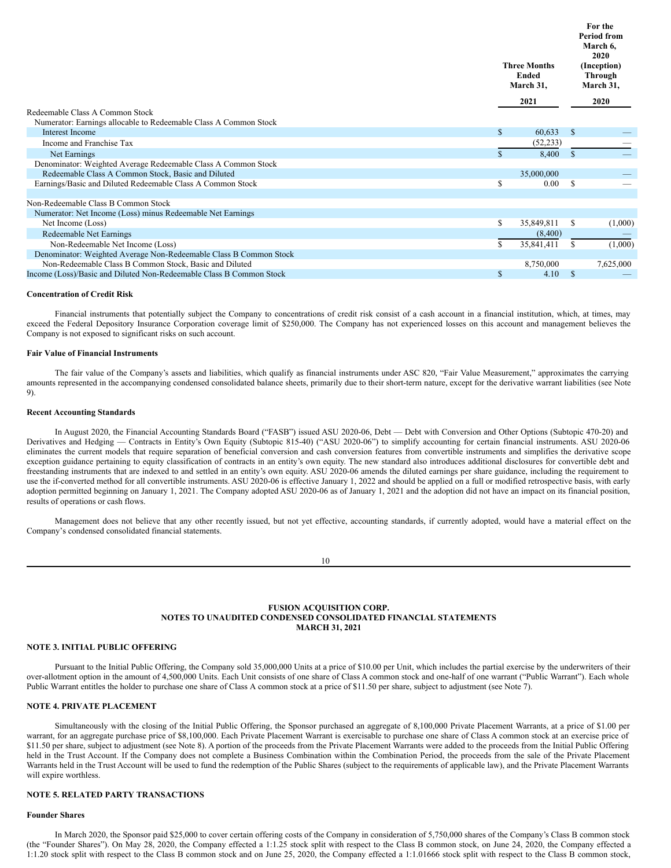|                                                                                                     |              | <b>Three Months</b><br>Ended<br>March 31, |               | For the<br><b>Period from</b><br>March 6,<br>2020<br>(Inception)<br>Through<br>March 31, |
|-----------------------------------------------------------------------------------------------------|--------------|-------------------------------------------|---------------|------------------------------------------------------------------------------------------|
|                                                                                                     |              | 2021                                      |               | 2020                                                                                     |
| Redeemable Class A Common Stock<br>Numerator: Earnings allocable to Redeemable Class A Common Stock |              |                                           |               |                                                                                          |
| <b>Interest Income</b>                                                                              | $\mathbb{S}$ | 60,633                                    | <sup>\$</sup> |                                                                                          |
| Income and Franchise Tax                                                                            |              | (52, 233)                                 |               |                                                                                          |
| Net Earnings                                                                                        | \$.          | 8,400                                     | <sup>\$</sup> |                                                                                          |
| Denominator: Weighted Average Redeemable Class A Common Stock                                       |              |                                           |               |                                                                                          |
| Redeemable Class A Common Stock, Basic and Diluted                                                  |              | 35,000,000                                |               |                                                                                          |
| Earnings/Basic and Diluted Redeemable Class A Common Stock                                          | S            | 0.00                                      | -S            |                                                                                          |
| Non-Redeemable Class B Common Stock                                                                 |              |                                           |               |                                                                                          |
| Numerator: Net Income (Loss) minus Redeemable Net Earnings                                          |              |                                           |               |                                                                                          |
| Net Income (Loss)                                                                                   | S.           | 35,849,811                                | \$            | (1,000)                                                                                  |
| <b>Redeemable Net Earnings</b>                                                                      |              | (8,400)                                   |               |                                                                                          |
| Non-Redeemable Net Income (Loss)                                                                    | S.           | 35,841,411                                | S             | (1,000)                                                                                  |
| Denominator: Weighted Average Non-Redeemable Class B Common Stock                                   |              |                                           |               |                                                                                          |
| Non-Redeemable Class B Common Stock, Basic and Diluted                                              |              | 8,750,000                                 |               | 7,625,000                                                                                |
| Income (Loss)/Basic and Diluted Non-Redeemable Class B Common Stock                                 | S            | 4.10                                      | <sup>\$</sup> |                                                                                          |

#### **Concentration of Credit Risk**

Financial instruments that potentially subject the Company to concentrations of credit risk consist of a cash account in a financial institution, which, at times, may exceed the Federal Depository Insurance Corporation coverage limit of \$250,000. The Company has not experienced losses on this account and management believes the Company is not exposed to significant risks on such account.

### **Fair Value of Financial Instruments**

The fair value of the Company's assets and liabilities, which qualify as financial instruments under ASC 820, "Fair Value Measurement," approximates the carrying amounts represented in the accompanying condensed consolidated balance sheets, primarily due to their short-term nature, except for the derivative warrant liabilities (see Note 9).

#### **Recent Accounting Standards**

In August 2020, the Financial Accounting Standards Board ("FASB") issued ASU 2020-06, Debt — Debt with Conversion and Other Options (Subtopic 470-20) and Derivatives and Hedging — Contracts in Entity's Own Equity (Subtopic 815-40) ("ASU 2020-06") to simplify accounting for certain financial instruments. ASU 2020-06 eliminates the current models that require separation of beneficial conversion and cash conversion features from convertible instruments and simplifies the derivative scope exception guidance pertaining to equity classification of contracts in an entity's own equity. The new standard also introduces additional disclosures for convertible debt and freestanding instruments that are indexed to and settled in an entity's own equity. ASU 2020-06 amends the diluted earnings per share guidance, including the requirement to use the if-converted method for all convertible instruments. ASU 2020-06 is effective January 1, 2022 and should be applied on a full or modified retrospective basis, with early adoption permitted beginning on January 1, 2021. The Company adopted ASU 2020-06 as of January 1, 2021 and the adoption did not have an impact on its financial position, results of operations or cash flows.

Management does not believe that any other recently issued, but not yet effective, accounting standards, if currently adopted, would have a material effect on the Company's condensed consolidated financial statements.

### **FUSION ACQUISITION CORP. NOTES TO UNAUDITED CONDENSED CONSOLIDATED FINANCIAL STATEMENTS MARCH 31, 2021**

#### **NOTE 3. INITIAL PUBLIC OFFERING**

Pursuant to the Initial Public Offering, the Company sold 35,000,000 Units at a price of \$10.00 per Unit, which includes the partial exercise by the underwriters of their over-allotment option in the amount of 4,500,000 Units. Each Unit consists of one share of Class A common stock and one-half of one warrant ("Public Warrant"). Each whole Public Warrant entitles the holder to purchase one share of Class A common stock at a price of \$11.50 per share, subject to adjustment (see Note 7).

### **NOTE 4. PRIVATE PLACEMENT**

Simultaneously with the closing of the Initial Public Offering, the Sponsor purchased an aggregate of 8,100,000 Private Placement Warrants, at a price of \$1.00 per warrant, for an aggregate purchase price of \$8,100,000. Each Private Placement Warrant is exercisable to purchase one share of Class A common stock at an exercise price of \$11.50 per share, subject to adjustment (see Note 8). A portion of the proceeds from the Private Placement Warrants were added to the proceeds from the Initial Public Offering held in the Trust Account. If the Company does not complete a Business Combination within the Combination Period, the proceeds from the sale of the Private Placement Warrants held in the Trust Account will be used to fund the redemption of the Public Shares (subject to the requirements of applicable law), and the Private Placement Warrants will expire worthless.

### **NOTE 5. RELATED PARTY TRANSACTIONS**

### **Founder Shares**

In March 2020, the Sponsor paid \$25,000 to cover certain offering costs of the Company in consideration of 5,750,000 shares of the Company's Class B common stock (the "Founder Shares"). On May 28, 2020, the Company effected a 1:1.25 stock split with respect to the Class B common stock, on June 24, 2020, the Company effected a 1:1.20 stock split with respect to the Class B common stock and on June 25, 2020, the Company effected a 1:1.01666 stock split with respect to the Class B common stock,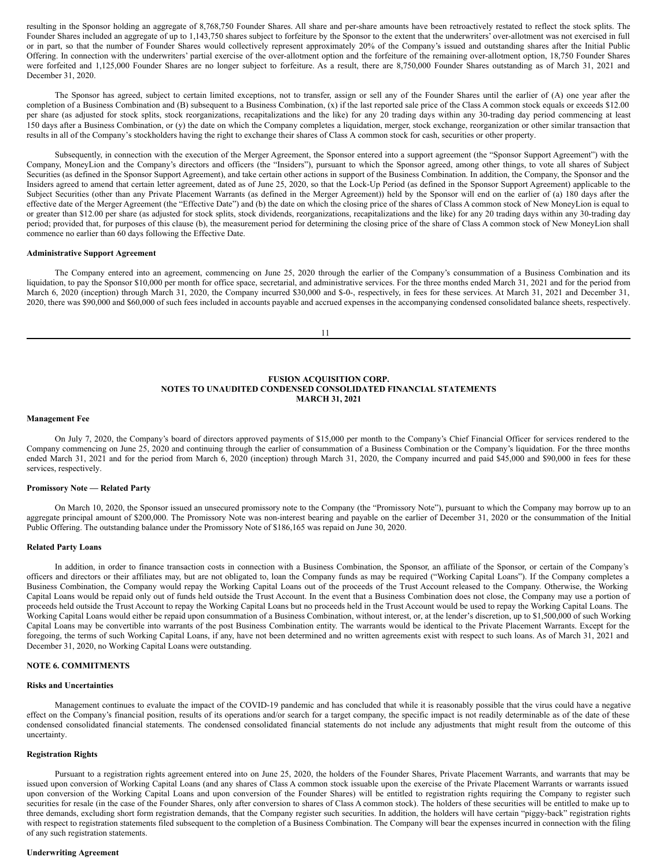resulting in the Sponsor holding an aggregate of 8,768,750 Founder Shares. All share and per-share amounts have been retroactively restated to reflect the stock splits. The Founder Shares included an aggregate of up to 1,143,750 shares subject to forfeiture by the Sponsor to the extent that the underwriters' over-allotment was not exercised in full or in part, so that the number of Founder Shares would collectively represent approximately 20% of the Company's issued and outstanding shares after the Initial Public Offering. In connection with the underwriters' partial exercise of the over-allotment option and the forfeiture of the remaining over-allotment option, 18,750 Founder Shares were forfeited and 1,125,000 Founder Shares are no longer subject to forfeiture. As a result, there are 8,750,000 Founder Shares outstanding as of March 31, 2021 and December 31, 2020.

The Sponsor has agreed, subject to certain limited exceptions, not to transfer, assign or sell any of the Founder Shares until the earlier of (A) one year after the completion of a Business Combination and (B) subsequent to a Business Combination, (x) if the last reported sale price of the Class A common stock equals or exceeds \$12.00 per share (as adjusted for stock splits, stock reorganizations, recapitalizations and the like) for any 20 trading days within any 30-trading day period commencing at least 150 days after a Business Combination, or (y) the date on which the Company completes a liquidation, merger, stock exchange, reorganization or other similar transaction that results in all of the Company's stockholders having the right to exchange their shares of Class A common stock for cash, securities or other property.

Subsequently, in connection with the execution of the Merger Agreement, the Sponsor entered into a support agreement (the "Sponsor Support Agreement") with the Company, MoneyLion and the Company's directors and officers (the "Insiders"), pursuant to which the Sponsor agreed, among other things, to vote all shares of Subject Securities (as defined in the Sponsor Support Agreement), and take certain other actions in support of the Business Combination. In addition, the Company, the Sponsor and the Insiders agreed to amend that certain letter agreement, dated as of June 25, 2020, so that the Lock-Up Period (as defined in the Sponsor Support Agreement) applicable to the Subject Securities (other than any Private Placement Warrants (as defined in the Merger Agreement)) held by the Sponsor will end on the earlier of (a) 180 days after the effective date of the Merger Agreement (the "Effective Date") and (b) the date on which the closing price of the shares of Class A common stock of New MoneyLion is equal to or greater than \$12.00 per share (as adjusted for stock splits, stock dividends, reorganizations, recapitalizations and the like) for any 20 trading days within any 30-trading day period; provided that, for purposes of this clause (b), the measurement period for determining the closing price of the share of Class A common stock of New MoneyLion shall commence no earlier than 60 days following the Effective Date.

#### **Administrative Support Agreement**

The Company entered into an agreement, commencing on June 25, 2020 through the earlier of the Company's consummation of a Business Combination and its liquidation, to pay the Sponsor \$10,000 per month for office space, secretarial, and administrative services. For the three months ended March 31, 2021 and for the period from March 6, 2020 (inception) through March 31, 2020, the Company incurred \$30,000 and \$-0-, respectively, in fees for these services. At March 31, 2021 and December 31, 2020, there was \$90,000 and \$60,000 of such fees included in accounts payable and accrued expenses in the accompanying condensed consolidated balance sheets, respectively.

11

### **FUSION ACQUISITION CORP. NOTES TO UNAUDITED CONDENSED CONSOLIDATED FINANCIAL STATEMENTS MARCH 31, 2021**

#### **Management Fee**

On July 7, 2020, the Company's board of directors approved payments of \$15,000 per month to the Company's Chief Financial Officer for services rendered to the Company commencing on June 25, 2020 and continuing through the earlier of consummation of a Business Combination or the Company's liquidation. For the three months ended March 31, 2021 and for the period from March 6, 2020 (inception) through March 31, 2020, the Company incurred and paid \$45,000 and \$90,000 in fees for these services, respectively.

#### **Promissory Note — Related Party**

On March 10, 2020, the Sponsor issued an unsecured promissory note to the Company (the "Promissory Note"), pursuant to which the Company may borrow up to an aggregate principal amount of \$200,000. The Promissory Note was non-interest bearing and payable on the earlier of December 31, 2020 or the consummation of the Initial Public Offering. The outstanding balance under the Promissory Note of \$186,165 was repaid on June 30, 2020.

### **Related Party Loans**

In addition, in order to finance transaction costs in connection with a Business Combination, the Sponsor, an affiliate of the Sponsor, or certain of the Company's officers and directors or their affiliates may, but are not obligated to, loan the Company funds as may be required ("Working Capital Loans"). If the Company completes a Business Combination, the Company would repay the Working Capital Loans out of the proceeds of the Trust Account released to the Company. Otherwise, the Working Capital Loans would be repaid only out of funds held outside the Trust Account. In the event that a Business Combination does not close, the Company may use a portion of proceeds held outside the Trust Account to repay the Working Capital Loans but no proceeds held in the Trust Account would be used to repay the Working Capital Loans. The Working Capital Loans would either be repaid upon consummation of a Business Combination, without interest, or, at the lender's discretion, up to \$1,500,000 of such Working Capital Loans may be convertible into warrants of the post Business Combination entity. The warrants would be identical to the Private Placement Warrants. Except for the foregoing, the terms of such Working Capital Loans, if any, have not been determined and no written agreements exist with respect to such loans. As of March 31, 2021 and December 31, 2020, no Working Capital Loans were outstanding.

### **NOTE 6. COMMITMENTS**

### **Risks and Uncertainties**

Management continues to evaluate the impact of the COVID-19 pandemic and has concluded that while it is reasonably possible that the virus could have a negative effect on the Company's financial position, results of its operations and/or search for a target company, the specific impact is not readily determinable as of the date of these condensed consolidated financial statements. The condensed consolidated financial statements do not include any adjustments that might result from the outcome of this uncertainty.

### **Registration Rights**

Pursuant to a registration rights agreement entered into on June 25, 2020, the holders of the Founder Shares, Private Placement Warrants, and warrants that may be issued upon conversion of Working Capital Loans (and any shares of Class A common stock issuable upon the exercise of the Private Placement Warrants or warrants issued upon conversion of the Working Capital Loans and upon conversion of the Founder Shares) will be entitled to registration rights requiring the Company to register such securities for resale (in the case of the Founder Shares, only after conversion to shares of Class A common stock). The holders of these securities will be entitled to make up to three demands, excluding short form registration demands, that the Company register such securities. In addition, the holders will have certain "piggy-back" registration rights with respect to registration statements filed subsequent to the completion of a Business Combination. The Company will bear the expenses incurred in connection with the filing of any such registration statements.

#### **Underwriting Agreement**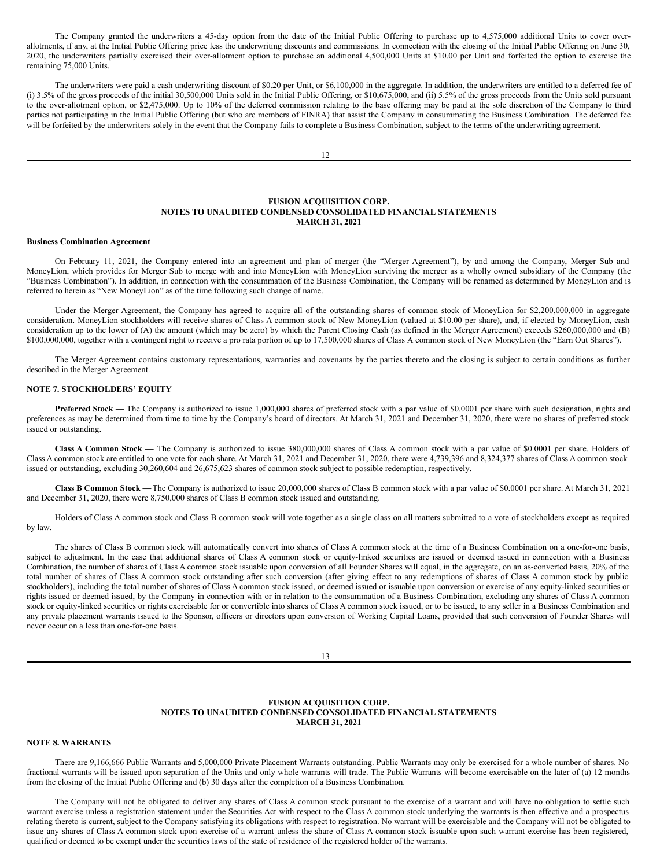The Company granted the underwriters a 45-day option from the date of the Initial Public Offering to purchase up to 4,575,000 additional Units to cover overallotments, if any, at the Initial Public Offering price less the underwriting discounts and commissions. In connection with the closing of the Initial Public Offering on June 30, 2020, the underwriters partially exercised their over-allotment option to purchase an additional 4,500,000 Units at \$10.00 per Unit and forfeited the option to exercise the remaining 75,000 Units.

The underwriters were paid a cash underwriting discount of \$0.20 per Unit, or \$6,100,000 in the aggregate. In addition, the underwriters are entitled to a deferred fee of (i) 3.5% of the gross proceeds of the initial 30,500,000 Units sold in the Initial Public Offering, or \$10,675,000, and (ii) 5.5% of the gross proceeds from the Units sold pursuant to the over-allotment option, or \$2,475,000. Up to 10% of the deferred commission relating to the base offering may be paid at the sole discretion of the Company to third parties not participating in the Initial Public Offering (but who are members of FINRA) that assist the Company in consummating the Business Combination. The deferred fee will be forfeited by the underwriters solely in the event that the Company fails to complete a Business Combination, subject to the terms of the underwriting agreement.

 $12$ 

#### **FUSION ACQUISITION CORP. NOTES TO UNAUDITED CONDENSED CONSOLIDATED FINANCIAL STATEMENTS MARCH 31, 2021**

#### **Business Combination Agreement**

On February 11, 2021, the Company entered into an agreement and plan of merger (the "Merger Agreement"), by and among the Company, Merger Sub and MoneyLion, which provides for Merger Sub to merge with and into MoneyLion with MoneyLion surviving the merger as a wholly owned subsidiary of the Company (the "Business Combination"). In addition, in connection with the consummation of the Business Combination, the Company will be renamed as determined by MoneyLion and is referred to herein as "New MoneyLion" as of the time following such change of name.

Under the Merger Agreement, the Company has agreed to acquire all of the outstanding shares of common stock of MoneyLion for \$2,200,000,000 in aggregate consideration. MoneyLion stockholders will receive shares of Class A common stock of New MoneyLion (valued at \$10.00 per share), and, if elected by MoneyLion, cash consideration up to the lower of (A) the amount (which may be zero) by which the Parent Closing Cash (as defined in the Merger Agreement) exceeds \$260,000,000 and (B) \$100,000,000, together with a contingent right to receive a pro rata portion of up to 17,500,000 shares of Class A common stock of New MoneyLion (the "Earn Out Shares").

The Merger Agreement contains customary representations, warranties and covenants by the parties thereto and the closing is subject to certain conditions as further described in the Merger Agreement.

### **NOTE 7. STOCKHOLDERS' EQUITY**

Preferred Stock — The Company is authorized to issue 1,000,000 shares of preferred stock with a par value of \$0.0001 per share with such designation, rights and preferences as may be determined from time to time by the Company's board of directors. At March 31, 2021 and December 31, 2020, there were no shares of preferred stock issued or outstanding.

**Class A Common Stock —** The Company is authorized to issue 380,000,000 shares of Class A common stock with a par value of \$0.0001 per share. Holders of Class A common stock are entitled to one vote for each share. At March 31, 2021 and December 31, 2020, there were 4,739,396 and 8,324,377 shares of Class A common stock issued or outstanding, excluding 30,260,604 and 26,675,623 shares of common stock subject to possible redemption, respectively.

**Class B Common Stock —**The Company is authorized to issue 20,000,000 shares of Class B common stock with a par value of \$0.0001 per share. At March 31, 2021 and December 31, 2020, there were 8,750,000 shares of Class B common stock issued and outstanding.

Holders of Class A common stock and Class B common stock will vote together as a single class on all matters submitted to a vote of stockholders except as required by law.

The shares of Class B common stock will automatically convert into shares of Class A common stock at the time of a Business Combination on a one-for-one basis, subject to adjustment. In the case that additional shares of Class A common stock or equity-linked securities are issued or deemed issued in connection with a Business Combination, the number of shares of Class A common stock issuable upon conversion of all Founder Shares will equal, in the aggregate, on an as-converted basis, 20% of the total number of shares of Class A common stock outstanding after such conversion (after giving effect to any redemptions of shares of Class A common stock by public stockholders), including the total number of shares of Class A common stock issued, or deemed issued or issuable upon conversion or exercise of any equity-linked securities or rights issued or deemed issued, by the Company in connection with or in relation to the consummation of a Business Combination, excluding any shares of Class A common stock or equity-linked securities or rights exercisable for or convertible into shares of Class A common stock issued, or to be issued, to any seller in a Business Combination and any private placement warrants issued to the Sponsor, officers or directors upon conversion of Working Capital Loans, provided that such conversion of Founder Shares will never occur on a less than one-for-one basis.

13

### **FUSION ACQUISITION CORP. NOTES TO UNAUDITED CONDENSED CONSOLIDATED FINANCIAL STATEMENTS MARCH 31, 2021**

### **NOTE 8. WARRANTS**

There are 9,166,666 Public Warrants and 5,000,000 Private Placement Warrants outstanding. Public Warrants may only be exercised for a whole number of shares. No fractional warrants will be issued upon separation of the Units and only whole warrants will trade. The Public Warrants will become exercisable on the later of (a) 12 months from the closing of the Initial Public Offering and (b) 30 days after the completion of a Business Combination.

The Company will not be obligated to deliver any shares of Class A common stock pursuant to the exercise of a warrant and will have no obligation to settle such warrant exercise unless a registration statement under the Securities Act with respect to the Class A common stock underlying the warrants is then effective and a prospectus relating thereto is current, subject to the Company satisfying its obligations with respect to registration. No warrant will be exercisable and the Company will not be obligated to issue any shares of Class A common stock upon exercise of a warrant unless the share of Class A common stock issuable upon such warrant exercise has been registered, qualified or deemed to be exempt under the securities laws of the state of residence of the registered holder of the warrants.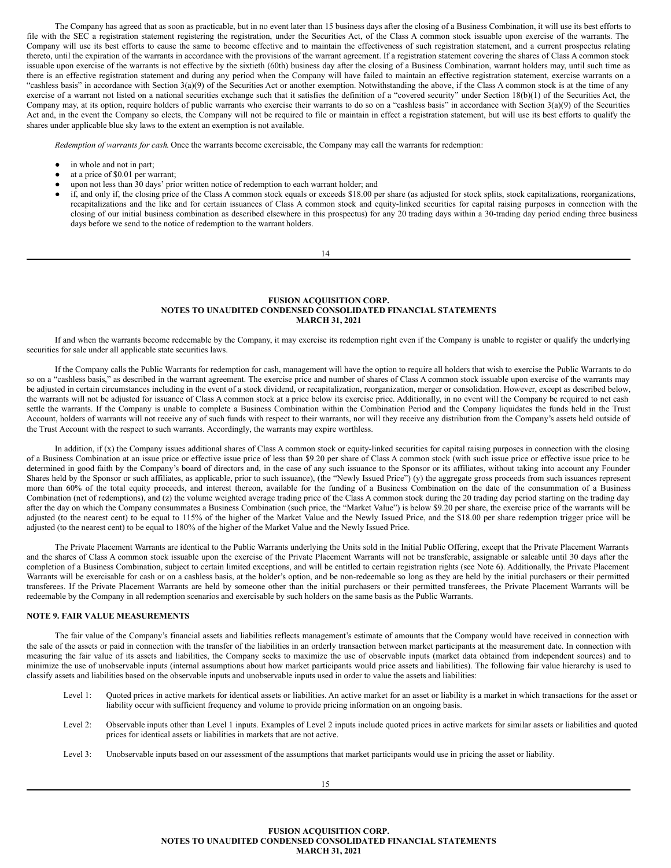The Company has agreed that as soon as practicable, but in no event later than 15 business days after the closing of a Business Combination, it will use its best efforts to file with the SEC a registration statement registering the registration, under the Securities Act, of the Class A common stock issuable upon exercise of the warrants. The Company will use its best efforts to cause the same to become effective and to maintain the effectiveness of such registration statement, and a current prospectus relating thereto, until the expiration of the warrants in accordance with the provisions of the warrant agreement. If a registration statement covering the shares of Class A common stock issuable upon exercise of the warrants is not effective by the sixtieth (60th) business day after the closing of a Business Combination, warrant holders may, until such time as there is an effective registration statement and during any period when the Company will have failed to maintain an effective registration statement, exercise warrants on a "cashless basis" in accordance with Section 3(a)(9) of the Securities Act or another exemption. Notwithstanding the above, if the Class A common stock is at the time of any exercise of a warrant not listed on a national securities exchange such that it satisfies the definition of a "covered security" under Section 18(b)(1) of the Securities Act, the Company may, at its option, require holders of public warrants who exercise their warrants to do so on a "cashless basis" in accordance with Section 3(a)(9) of the Securities Act and, in the event the Company so elects, the Company will not be required to file or maintain in effect a registration statement, but will use its best efforts to qualify the shares under applicable blue sky laws to the extent an exemption is not available.

*Redemption of warrants for cash*. Once the warrants become exercisable, the Company may call the warrants for redemption:

- in whole and not in part;
- at a price of \$0.01 per warrant;
- upon not less than 30 days' prior written notice of redemption to each warrant holder; and
- if, and only if, the closing price of the Class A common stock equals or exceeds \$18.00 per share (as adjusted for stock splits, stock capitalizations, reorganizations, recapitalizations and the like and for certain issuances of Class A common stock and equity-linked securities for capital raising purposes in connection with the closing of our initial business combination as described elsewhere in this prospectus) for any 20 trading days within a 30-trading day period ending three business days before we send to the notice of redemption to the warrant holders.

14

### **FUSION ACQUISITION CORP. NOTES TO UNAUDITED CONDENSED CONSOLIDATED FINANCIAL STATEMENTS MARCH 31, 2021**

If and when the warrants become redeemable by the Company, it may exercise its redemption right even if the Company is unable to register or qualify the underlying securities for sale under all applicable state securities laws.

If the Company calls the Public Warrants for redemption for cash, management will have the option to require all holders that wish to exercise the Public Warrants to do so on a "cashless basis," as described in the warrant agreement. The exercise price and number of shares of Class A common stock issuable upon exercise of the warrants may be adjusted in certain circumstances including in the event of a stock dividend, or recapitalization, reorganization, merger or consolidation. However, except as described below, the warrants will not be adjusted for issuance of Class A common stock at a price below its exercise price. Additionally, in no event will the Company be required to net cash settle the warrants. If the Company is unable to complete a Business Combination within the Combination Period and the Company liquidates the funds held in the Trust Account, holders of warrants will not receive any of such funds with respect to their warrants, nor will they receive any distribution from the Company's assets held outside of the Trust Account with the respect to such warrants. Accordingly, the warrants may expire worthless.

In addition, if  $(x)$  the Company issues additional shares of Class A common stock or equity-linked securities for capital raising purposes in connection with the closing of a Business Combination at an issue price or effective issue price of less than \$9.20 per share of Class A common stock (with such issue price or effective issue price to be determined in good faith by the Company's board of directors and, in the case of any such issuance to the Sponsor or its affiliates, without taking into account any Founder Shares held by the Sponsor or such affiliates, as applicable, prior to such issuance), (the "Newly Issued Price") (y) the aggregate gross proceeds from such issuances represent more than 60% of the total equity proceeds, and interest thereon, available for the funding of a Business Combination on the date of the consummation of a Business Combination (net of redemptions), and (z) the volume weighted average trading price of the Class A common stock during the 20 trading day period starting on the trading day after the day on which the Company consummates a Business Combination (such price, the "Market Value") is below \$9.20 per share, the exercise price of the warrants will be adjusted (to the nearest cent) to be equal to 115% of the higher of the Market Value and the Newly Issued Price, and the \$18.00 per share redemption trigger price will be adjusted (to the nearest cent) to be equal to 180% of the higher of the Market Value and the Newly Issued Price.

The Private Placement Warrants are identical to the Public Warrants underlying the Units sold in the Initial Public Offering, except that the Private Placement Warrants and the shares of Class A common stock issuable upon the exercise of the Private Placement Warrants will not be transferable, assignable or saleable until 30 days after the completion of a Business Combination, subject to certain limited exceptions, and will be entitled to certain registration rights (see Note 6). Additionally, the Private Placement Warrants will be exercisable for cash or on a cashless basis, at the holder's option, and be non-redeemable so long as they are held by the initial purchasers or their permitted transferees. If the Private Placement Warrants are held by someone other than the initial purchasers or their permitted transferees, the Private Placement Warrants will be redeemable by the Company in all redemption scenarios and exercisable by such holders on the same basis as the Public Warrants.

### **NOTE 9. FAIR VALUE MEASUREMENTS**

The fair value of the Company's financial assets and liabilities reflects management's estimate of amounts that the Company would have received in connection with the sale of the assets or paid in connection with the transfer of the liabilities in an orderly transaction between market participants at the measurement date. In connection with measuring the fair value of its assets and liabilities, the Company seeks to maximize the use of observable inputs (market data obtained from independent sources) and to minimize the use of unobservable inputs (internal assumptions about how market participants would price assets and liabilities). The following fair value hierarchy is used to classify assets and liabilities based on the observable inputs and unobservable inputs used in order to value the assets and liabilities:

- Level 1: Quoted prices in active markets for identical assets or liabilities. An active market for an asset or liability is a market in which transactions for the asset or liability occur with sufficient frequency and volume to provide pricing information on an ongoing basis.
- Level 2: Observable inputs other than Level 1 inputs. Examples of Level 2 inputs include quoted prices in active markets for similar assets or liabilities and quoted prices for identical assets or liabilities in markets that are not active.
- Level 3: Unobservable inputs based on our assessment of the assumptions that market participants would use in pricing the asset or liability.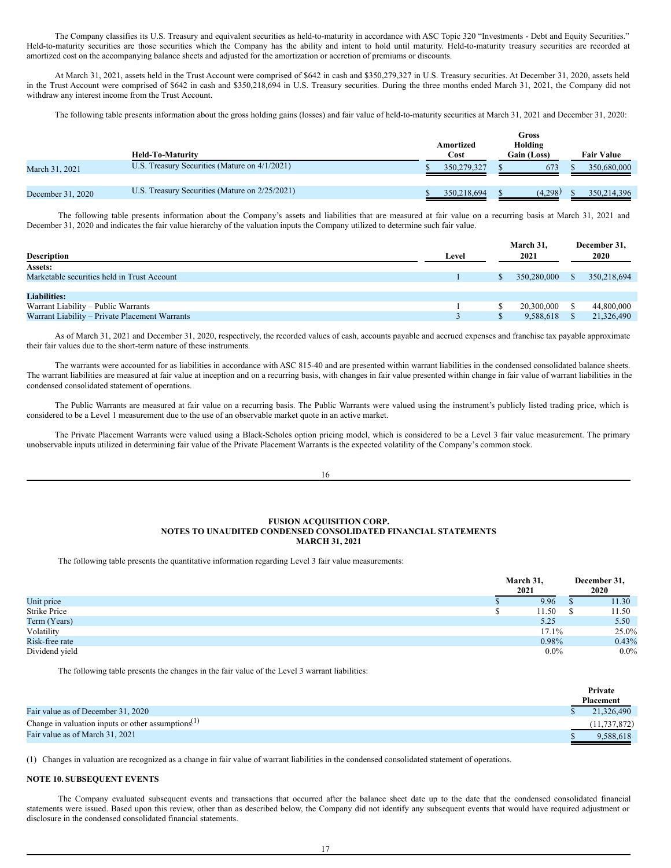The Company classifies its U.S. Treasury and equivalent securities as held-to-maturity in accordance with ASC Topic 320 "Investments - Debt and Equity Securities." Held-to-maturity securities are those securities which the Company has the ability and intent to hold until maturity. Held-to-maturity treasury securities are recorded at amortized cost on the accompanying balance sheets and adjusted for the amortization or accretion of premiums or discounts.

At March 31, 2021, assets held in the Trust Account were comprised of \$642 in cash and \$350,279,327 in U.S. Treasury securities. At December 31, 2020, assets held in the Trust Account were comprised of \$642 in cash and \$350,218,694 in U.S. Treasury securities. During the three months ended March 31, 2021, the Company did not withdraw any interest income from the Trust Account.

The following table presents information about the gross holding gains (losses) and fair value of held-to-maturity securities at March 31, 2021 and December 31, 2020:

|                   | <b>Held-To-Maturity</b>                        | Amortized<br>Cost | Gross<br>Holding<br>Gain (Loss) | <b>Fair Value</b> |
|-------------------|------------------------------------------------|-------------------|---------------------------------|-------------------|
| March 31, 2021    | U.S. Treasury Securities (Mature on 4/1/2021)  | 350,279,327       | 673                             | 350,680,000       |
| December 31, 2020 | U.S. Treasury Securities (Mature on 2/25/2021) | 350,218,694       | (4.298)                         | 350,214,396       |

The following table presents information about the Company's assets and liabilities that are measured at fair value on a recurring basis at March 31, 2021 and December 31, 2020 and indicates the fair value hierarchy of the valuation inputs the Company utilized to determine such fair value.

| <b>Description</b>                             | Level | March 31,<br>2021 | December 31,<br>2020 |
|------------------------------------------------|-------|-------------------|----------------------|
|                                                |       |                   |                      |
| Assets:                                        |       |                   |                      |
| Marketable securities held in Trust Account    |       | 350,280,000       | 350,218,694          |
|                                                |       |                   |                      |
| <b>Liabilities:</b>                            |       |                   |                      |
| Warrant Liability – Public Warrants            |       | 20,300,000        | 44,800,000           |
| Warrant Liability – Private Placement Warrants |       | 9,588,618         | 21,326,490           |

As of March 31, 2021 and December 31, 2020, respectively, the recorded values of cash, accounts payable and accrued expenses and franchise tax payable approximate their fair values due to the short-term nature of these instruments.

The warrants were accounted for as liabilities in accordance with ASC 815-40 and are presented within warrant liabilities in the condensed consolidated balance sheets. The warrant liabilities are measured at fair value at inception and on a recurring basis, with changes in fair value presented within change in fair value of warrant liabilities in the condensed consolidated statement of operations.

The Public Warrants are measured at fair value on a recurring basis. The Public Warrants were valued using the instrument's publicly listed trading price, which is considered to be a Level 1 measurement due to the use of an observable market quote in an active market.

The Private Placement Warrants were valued using a Black-Scholes option pricing model, which is considered to be a Level 3 fair value measurement. The primary unobservable inputs utilized in determining fair value of the Private Placement Warrants is the expected volatility of the Company's common stock.

16

### **FUSION ACQUISITION CORP. NOTES TO UNAUDITED CONDENSED CONSOLIDATED FINANCIAL STATEMENTS MARCH 31, 2021**

The following table presents the quantitative information regarding Level 3 fair value measurements:

|                | March 31,<br>2021 |         | December 31,<br>2020 |         |
|----------------|-------------------|---------|----------------------|---------|
| Unit price     |                   | 9.96    | $\mathbf{D}$         | 11.30   |
| Strike Price   |                   | 11.50   |                      | 11.50   |
| Term (Years)   |                   | 5.25    |                      | 5.50    |
| Volatility     |                   | 17.1%   |                      | 25.0%   |
| Risk-free rate |                   | 0.98%   |                      | 0.43%   |
| Dividend yield |                   | $0.0\%$ |                      | $0.0\%$ |

The following table presents the changes in the fair value of the Level 3 warrant liabilities:

|                                                       | Private          |
|-------------------------------------------------------|------------------|
|                                                       | <b>Placement</b> |
| Fair value as of December 31, 2020                    | 21,326,490       |
| Change in valuation inputs or other assumptions $(1)$ | (11, 737, 872)   |
| Fair value as of March 31, 2021                       | 9.588.618        |

(1) Changes in valuation are recognized as a change in fair value of warrant liabilities in the condensed consolidated statement of operations.

#### **NOTE 10. SUBSEQUENT EVENTS**

The Company evaluated subsequent events and transactions that occurred after the balance sheet date up to the date that the condensed consolidated financial statements were issued. Based upon this review, other than as described below, the Company did not identify any subsequent events that would have required adjustment or disclosure in the condensed consolidated financial statements.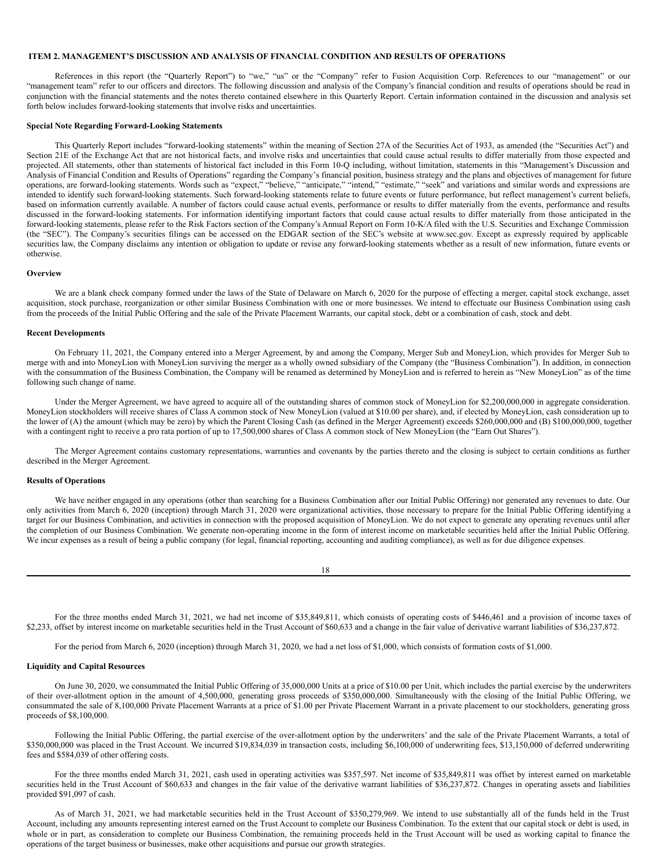### <span id="page-12-0"></span>**ITEM 2. MANAGEMENT'S DISCUSSION AND ANALYSIS OF FINANCIAL CONDITION AND RESULTS OF OPERATIONS**

References in this report (the "Quarterly Report") to "we," "us" or the "Company" refer to Fusion Acquisition Corp. References to our "management" or our "management team" refer to our officers and directors. The following discussion and analysis of the Company's financial condition and results of operations should be read in conjunction with the financial statements and the notes thereto contained elsewhere in this Quarterly Report. Certain information contained in the discussion and analysis set forth below includes forward-looking statements that involve risks and uncertainties.

### **Special Note Regarding Forward-Looking Statements**

This Quarterly Report includes "forward-looking statements" within the meaning of Section 27A of the Securities Act of 1933, as amended (the "Securities Act") and Section 21E of the Exchange Act that are not historical facts, and involve risks and uncertainties that could cause actual results to differ materially from those expected and projected. All statements, other than statements of historical fact included in this Form 10-O including, without limitation, statements in this "Management's Discussion and Analysis of Financial Condition and Results of Operations" regarding the Company's financial position, business strategy and the plans and objectives of management for future operations, are forward-looking statements. Words such as "expect," "believe," "anticipate," "intend," "estimate," "seek" and variations and similar words and expressions are intended to identify such forward-looking statements. Such forward-looking statements relate to future events or future performance, but reflect management's current beliefs, based on information currently available. A number of factors could cause actual events, performance or results to differ materially from the events, performance and results discussed in the forward-looking statements. For information identifying important factors that could cause actual results to differ materially from those anticipated in the forward-looking statements, please refer to the Risk Factors section of the Company's Annual Report on Form 10-K/A filed with the U.S. Securities and Exchange Commission (the "SEC"). The Company's securities filings can be accessed on the EDGAR section of the SEC's website at www.sec.gov. Except as expressly required by applicable securities law, the Company disclaims any intention or obligation to update or revise any forward-looking statements whether as a result of new information, future events or otherwise.

#### **Overview**

We are a blank check company formed under the laws of the State of Delaware on March 6, 2020 for the purpose of effecting a merger, capital stock exchange, asset acquisition, stock purchase, reorganization or other similar Business Combination with one or more businesses. We intend to effectuate our Business Combination using cash from the proceeds of the Initial Public Offering and the sale of the Private Placement Warrants, our capital stock, debt or a combination of cash, stock and debt.

### **Recent Developments**

On February 11, 2021, the Company entered into a Merger Agreement, by and among the Company, Merger Sub and MoneyLion, which provides for Merger Sub to merge with and into MoneyLion with MoneyLion surviving the merger as a wholly owned subsidiary of the Company (the "Business Combination"). In addition, in connection with the consummation of the Business Combination, the Company will be renamed as determined by MoneyLion and is referred to herein as "New MoneyLion" as of the time following such change of name.

Under the Merger Agreement, we have agreed to acquire all of the outstanding shares of common stock of MoneyLion for \$2,200,000,000 in aggregate consideration. MoneyLion stockholders will receive shares of Class A common stock of New MoneyLion (valued at \$10.00 per share), and, if elected by MoneyLion, cash consideration up to the lower of (A) the amount (which may be zero) by which the Parent Closing Cash (as defined in the Merger Agreement) exceeds \$260,000,000 and (B) \$100,000,000, together with a contingent right to receive a pro rata portion of up to 17,500,000 shares of Class A common stock of New MoneyLion (the "Earn Out Shares").

The Merger Agreement contains customary representations, warranties and covenants by the parties thereto and the closing is subject to certain conditions as further described in the Merger Agreement.

### **Results of Operations**

We have neither engaged in any operations (other than searching for a Business Combination after our Initial Public Offering) nor generated any revenues to date. Our only activities from March 6, 2020 (inception) through March 31, 2020 were organizational activities, those necessary to prepare for the Initial Public Offering identifying a target for our Business Combination, and activities in connection with the proposed acquisition of MoneyLion. We do not expect to generate any operating revenues until after the completion of our Business Combination. We generate non-operating income in the form of interest income on marketable securities held after the Initial Public Offering. We incur expenses as a result of being a public company (for legal, financial reporting, accounting and auditing compliance), as well as for due diligence expenses.

| I<br>×<br>w<br>۹ |
|------------------|

For the three months ended March 31, 2021, we had net income of \$35,849,811, which consists of operating costs of \$446,461 and a provision of income taxes of \$2,233, offset by interest income on marketable securities held in the Trust Account of \$60,633 and a change in the fair value of derivative warrant liabilities of \$36,237,872.

For the period from March 6, 2020 (inception) through March 31, 2020, we had a net loss of \$1,000, which consists of formation costs of \$1,000.

#### **Liquidity and Capital Resources**

On June 30, 2020, we consummated the Initial Public Offering of 35,000,000 Units at a price of \$10.00 per Unit, which includes the partial exercise by the underwriters of their over-allotment option in the amount of 4,500,000, generating gross proceeds of \$350,000,000. Simultaneously with the closing of the Initial Public Offering, we consummated the sale of 8,100,000 Private Placement Warrants at a price of \$1.00 per Private Placement Warrant in a private placement to our stockholders, generating gross proceeds of \$8,100,000.

Following the Initial Public Offering, the partial exercise of the over-allotment option by the underwriters' and the sale of the Private Placement Warrants, a total of \$350,000,000 was placed in the Trust Account. We incurred \$19,834,039 in transaction costs, including \$6,100,000 of underwriting fees, \$13,150,000 of deferred underwriting fees and \$584,039 of other offering costs.

For the three months ended March 31, 2021, cash used in operating activities was \$357,597. Net income of \$35,849,811 was offset by interest earned on marketable securities held in the Trust Account of \$60,633 and changes in the fair value of the derivative warrant liabilities of \$36,237,872. Changes in operating assets and liabilities provided \$91,097 of cash.

As of March 31, 2021, we had marketable securities held in the Trust Account of \$350,279,969. We intend to use substantially all of the funds held in the Trust Account, including any amounts representing interest earned on the Trust Account to complete our Business Combination. To the extent that our capital stock or debt is used, in whole or in part, as consideration to complete our Business Combination, the remaining proceeds held in the Trust Account will be used as working capital to finance the operations of the target business or businesses, make other acquisitions and pursue our growth strategies.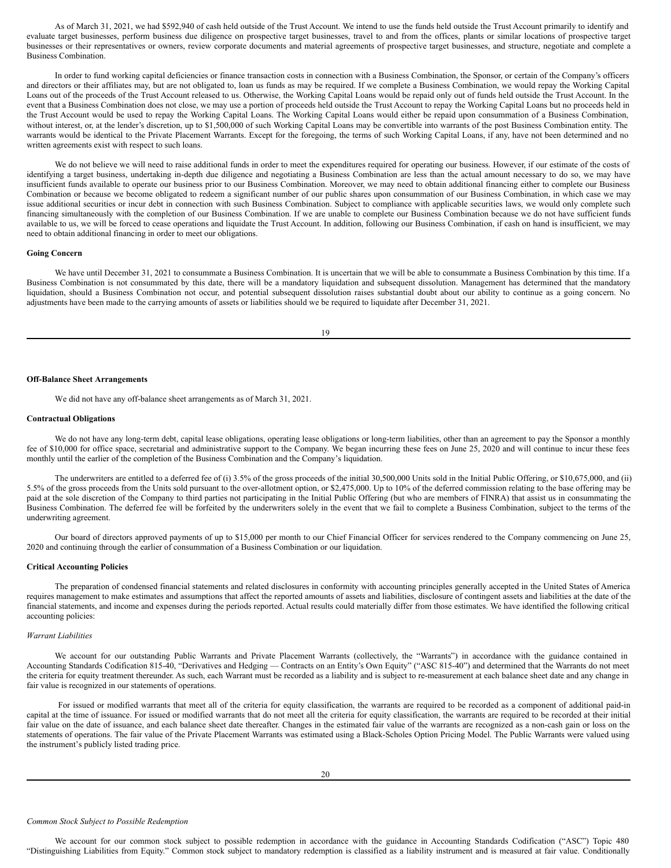As of March 31, 2021, we had \$592,940 of cash held outside of the Trust Account. We intend to use the funds held outside the Trust Account primarily to identify and evaluate target businesses, perform business due diligence on prospective target businesses, travel to and from the offices, plants or similar locations of prospective target businesses or their representatives or owners, review corporate documents and material agreements of prospective target businesses, and structure, negotiate and complete a Business Combination.

In order to fund working capital deficiencies or finance transaction costs in connection with a Business Combination, the Sponsor, or certain of the Company's officers and directors or their affiliates may, but are not obligated to, loan us funds as may be required. If we complete a Business Combination, we would repay the Working Capital Loans out of the proceeds of the Trust Account released to us. Otherwise, the Working Capital Loans would be repaid only out of funds held outside the Trust Account. In the event that a Business Combination does not close, we may use a portion of proceeds held outside the Trust Account to repay the Working Capital Loans but no proceeds held in the Trust Account would be used to repay the Working Capital Loans. The Working Capital Loans would either be repaid upon consummation of a Business Combination, without interest, or, at the lender's discretion, up to \$1,500,000 of such Working Capital Loans may be convertible into warrants of the post Business Combination entity. The warrants would be identical to the Private Placement Warrants. Except for the foregoing, the terms of such Working Capital Loans, if any, have not been determined and no written agreements exist with respect to such loans.

We do not believe we will need to raise additional funds in order to meet the expenditures required for operating our business. However, if our estimate of the costs of identifying a target business, undertaking in-depth due diligence and negotiating a Business Combination are less than the actual amount necessary to do so, we may have insufficient funds available to operate our business prior to our Business Combination. Moreover, we may need to obtain additional financing either to complete our Business Combination or because we become obligated to redeem a significant number of our public shares upon consummation of our Business Combination, in which case we may issue additional securities or incur debt in connection with such Business Combination. Subject to compliance with applicable securities laws, we would only complete such financing simultaneously with the completion of our Business Combination. If we are unable to complete our Business Combination because we do not have sufficient funds available to us, we will be forced to cease operations and liquidate the Trust Account. In addition, following our Business Combination, if cash on hand is insufficient, we may need to obtain additional financing in order to meet our obligations.

#### **Going Concern**

We have until December 31, 2021 to consummate a Business Combination. It is uncertain that we will be able to consummate a Business Combination by this time. If a Business Combination is not consummated by this date, there will be a mandatory liquidation and subsequent dissolution. Management has determined that the mandatory liquidation, should a Business Combination not occur, and potential subsequent dissolution raises substantial doubt about our ability to continue as a going concern. No adjustments have been made to the carrying amounts of assets or liabilities should we be required to liquidate after December 31, 2021.

19

#### **Off-Balance Sheet Arrangements**

We did not have any off-balance sheet arrangements as of March 31, 2021.

#### **Contractual Obligations**

We do not have any long-term debt, capital lease obligations, operating lease obligations or long-term liabilities, other than an agreement to pay the Sponsor a monthly fee of \$10,000 for office space, secretarial and administrative support to the Company. We began incurring these fees on June 25, 2020 and will continue to incur these fees monthly until the earlier of the completion of the Business Combination and the Company's liquidation.

The underwriters are entitled to a deferred fee of (i) 3.5% of the gross proceeds of the initial 30,500,000 Units sold in the Initial Public Offering, or \$10,675,000, and (ii) 5.5% of the gross proceeds from the Units sold pursuant to the over-allotment option, or \$2,475,000. Up to 10% of the deferred commission relating to the base offering may be paid at the sole discretion of the Company to third parties not participating in the Initial Public Offering (but who are members of FINRA) that assist us in consummating the Business Combination. The deferred fee will be forfeited by the underwriters solely in the event that we fail to complete a Business Combination, subject to the terms of the underwriting agreement.

Our board of directors approved payments of up to \$15,000 per month to our Chief Financial Officer for services rendered to the Company commencing on June 25, 2020 and continuing through the earlier of consummation of a Business Combination or our liquidation.

### **Critical Accounting Policies**

The preparation of condensed financial statements and related disclosures in conformity with accounting principles generally accepted in the United States of America requires management to make estimates and assumptions that affect the reported amounts of assets and liabilities, disclosure of contingent assets and liabilities at the date of the financial statements, and income and expenses during the periods reported. Actual results could materially differ from those estimates. We have identified the following critical accounting policies:

#### *Warrant Liabilities*

We account for our outstanding Public Warrants and Private Placement Warrants (collectively, the "Warrants") in accordance with the guidance contained in Accounting Standards Codification 815-40, "Derivatives and Hedging — Contracts on an Entity's Own Equity" ("ASC 815-40") and determined that the Warrants do not meet the criteria for equity treatment thereunder. As such, each Warrant must be recorded as a liability and is subject to re-measurement at each balance sheet date and any change in fair value is recognized in our statements of operations.

For issued or modified warrants that meet all of the criteria for equity classification, the warrants are required to be recorded as a component of additional paid-in capital at the time of issuance. For issued or modified warrants that do not meet all the criteria for equity classification, the warrants are required to be recorded at their initial fair value on the date of issuance, and each balance sheet date thereafter. Changes in the estimated fair value of the warrants are recognized as a non-cash gain or loss on the statements of operations. The fair value of the Private Placement Warrants was estimated using a Black-Scholes Option Pricing Model. The Public Warrants were valued using the instrument's publicly listed trading price.

#### *Common Stock Subject to Possible Redemption*

We account for our common stock subject to possible redemption in accordance with the guidance in Accounting Standards Codification ("ASC") Topic 480 "Distinguishing Liabilities from Equity." Common stock subject to mandatory redemption is classified as a liability instrument and is measured at fair value. Conditionally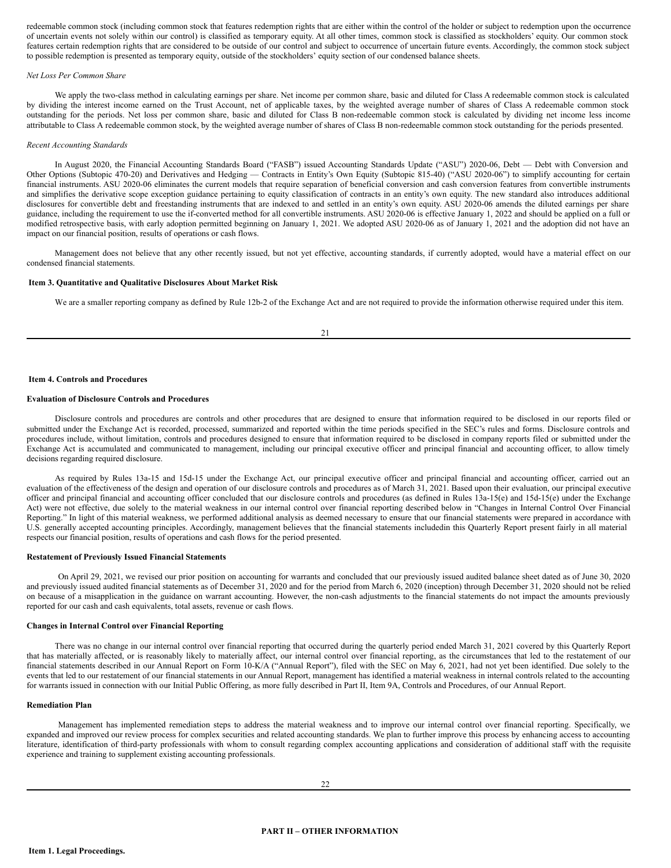redeemable common stock (including common stock that features redemption rights that are either within the control of the holder or subject to redemption upon the occurrence of uncertain events not solely within our control) is classified as temporary equity. At all other times, common stock is classified as stockholders' equity. Our common stock features certain redemption rights that are considered to be outside of our control and subject to occurrence of uncertain future events. Accordingly, the common stock subject to possible redemption is presented as temporary equity, outside of the stockholders' equity section of our condensed balance sheets.

#### *Net Loss Per Common Share*

We apply the two-class method in calculating earnings per share. Net income per common share, basic and diluted for Class A redeemable common stock is calculated by dividing the interest income earned on the Trust Account, net of applicable taxes, by the weighted average number of shares of Class A redeemable common stock outstanding for the periods. Net loss per common share, basic and diluted for Class B non-redeemable common stock is calculated by dividing net income less income attributable to Class A redeemable common stock, by the weighted average number of shares of Class B non-redeemable common stock outstanding for the periods presented.

### *Recent Accounting Standards*

In August 2020, the Financial Accounting Standards Board ("FASB") issued Accounting Standards Update ("ASU") 2020-06, Debt — Debt with Conversion and Other Options (Subtopic 470-20) and Derivatives and Hedging — Contracts in Entity's Own Equity (Subtopic 815-40) ("ASU 2020-06") to simplify accounting for certain financial instruments. ASU 2020-06 eliminates the current models that require separation of beneficial conversion and cash conversion features from convertible instruments and simplifies the derivative scope exception guidance pertaining to equity classification of contracts in an entity's own equity. The new standard also introduces additional disclosures for convertible debt and freestanding instruments that are indexed to and settled in an entity's own equity. ASU 2020-06 amends the diluted earnings per share guidance, including the requirement to use the if-converted method for all convertible instruments. ASU 2020-06 is effective January 1, 2022 and should be applied on a full or modified retrospective basis, with early adoption permitted beginning on January 1, 2021. We adopted ASU 2020-06 as of January 1, 2021 and the adoption did not have an impact on our financial position, results of operations or cash flows.

Management does not believe that any other recently issued, but not yet effective, accounting standards, if currently adopted, would have a material effect on our condensed financial statements.

### <span id="page-14-0"></span>**Item 3. Quantitative and Qualitative Disclosures About Market Risk**

We are a smaller reporting company as defined by Rule 12b-2 of the Exchange Act and are not required to provide the information otherwise required under this item.

#### <span id="page-14-1"></span>**Item 4. Controls and Procedures**

### **Evaluation of Disclosure Controls and Procedures**

Disclosure controls and procedures are controls and other procedures that are designed to ensure that information required to be disclosed in our reports filed or submitted under the Exchange Act is recorded, processed, summarized and reported within the time periods specified in the SEC's rules and forms. Disclosure controls and procedures include, without limitation, controls and procedures designed to ensure that information required to be disclosed in company reports filed or submitted under the Exchange Act is accumulated and communicated to management, including our principal executive officer and principal financial and accounting officer, to allow timely decisions regarding required disclosure.

As required by Rules 13a-15 and 15d-15 under the Exchange Act, our principal executive officer and principal financial and accounting officer, carried out an evaluation of the effectiveness of the design and operation of our disclosure controls and procedures as of March 31, 2021. Based upon their evaluation, our principal executive officer and principal financial and accounting officer concluded that our disclosure controls and procedures (as defined in Rules 13a-15(e) and 15d-15(e) under the Exchange Act) were not effective, due solely to the material weakness in our internal control over financial reporting described below in "Changes in Internal Control Over Financial Reporting." In light of this material weakness, we performed additional analysis as deemed necessary to ensure that our financial statements were prepared in accordance with U.S. generally accepted accounting principles. Accordingly, management believes that the financial statements includedin this Quarterly Report present fairly in all material respects our financial position, results of operations and cash flows for the period presented.

#### **Restatement of Previously Issued Financial Statements**

On April 29, 2021, we revised our prior position on accounting for warrants and concluded that our previously issued audited balance sheet dated as of June 30, 2020 and previously issued audited financial statements as of December 31, 2020 and for the period from March 6, 2020 (inception) through December 31, 2020 should not be relied on because of a misapplication in the guidance on warrant accounting. However, the non-cash adjustments to the financial statements do not impact the amounts previously reported for our cash and cash equivalents, total assets, revenue or cash flows.

#### **Changes in Internal Control over Financial Reporting**

There was no change in our internal control over financial reporting that occurred during the quarterly period ended March 31, 2021 covered by this Quarterly Report that has materially affected, or is reasonably likely to materially affect, our internal control over financial reporting, as the circumstances that led to the restatement of our financial statements described in our Annual Report on Form 10-K/A ("Annual Report"), filed with the SEC on May 6, 2021, had not yet been identified. Due solely to the events that led to our restatement of our financial statements in our Annual Report, management has identified a material weakness in internal controls related to the accounting for warrants issued in connection with our Initial Public Offering, as more fully described in Part II, Item 9A, Controls and Procedures, of our Annual Report.

#### **Remediation Plan**

<span id="page-14-3"></span><span id="page-14-2"></span>Management has implemented remediation steps to address the material weakness and to improve our internal control over financial reporting. Specifically, we expanded and improved our review process for complex securities and related accounting standards. We plan to further improve this process by enhancing access to accounting literature, identification of third-party professionals with whom to consult regarding complex accounting applications and consideration of additional staff with the requisite experience and training to supplement existing accounting professionals.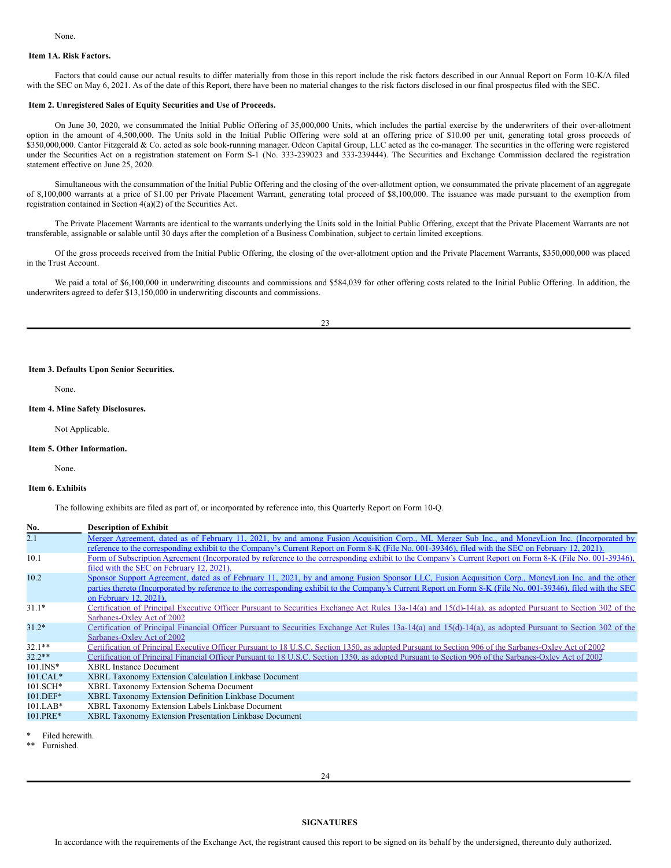### <span id="page-15-0"></span>**Item 1A. Risk Factors.**

Factors that could cause our actual results to differ materially from those in this report include the risk factors described in our Annual Report on Form 10-K/A filed with the SEC on May 6, 2021. As of the date of this Report, there have been no material changes to the risk factors disclosed in our final prospectus filed with the SEC.

#### <span id="page-15-1"></span>**Item 2. Unregistered Sales of Equity Securities and Use of Proceeds.**

On June 30, 2020, we consummated the Initial Public Offering of 35,000,000 Units, which includes the partial exercise by the underwriters of their over-allotment option in the amount of 4,500,000. The Units sold in the Initial Public Offering were sold at an offering price of \$10.00 per unit, generating total gross proceeds of \$350,000,000. Cantor Fitzgerald & Co. acted as sole book-running manager. Odeon Capital Group, LLC acted as the co-manager. The securities in the offering were registered under the Securities Act on a registration statement on Form S-1 (No. 333-239023 and 333-239444). The Securities and Exchange Commission declared the registration statement effective on June 25, 2020.

Simultaneous with the consummation of the Initial Public Offering and the closing of the over-allotment option, we consummated the private placement of an aggregate of 8,100,000 warrants at a price of \$1.00 per Private Placement Warrant, generating total proceed of \$8,100,000. The issuance was made pursuant to the exemption from registration contained in Section 4(a)(2) of the Securities Act.

The Private Placement Warrants are identical to the warrants underlying the Units sold in the Initial Public Offering, except that the Private Placement Warrants are not transferable, assignable or salable until 30 days after the completion of a Business Combination, subject to certain limited exceptions.

Of the gross proceeds received from the Initial Public Offering, the closing of the over-allotment option and the Private Placement Warrants, \$350,000,000 was placed in the Trust Account.

We paid a total of \$6,100,000 in underwriting discounts and commissions and \$584,039 for other offering costs related to the Initial Public Offering. In addition, the underwriters agreed to defer \$13,150,000 in underwriting discounts and commissions.

#### <span id="page-15-2"></span>**Item 3. Defaults Upon Senior Securities.**

None.

### <span id="page-15-3"></span>**Item 4. Mine Safety Disclosures.**

Not Applicable.

#### <span id="page-15-4"></span>**Item 5. Other Information.**

None.

### <span id="page-15-5"></span>**Item 6. Exhibits**

The following exhibits are filed as part of, or incorporated by reference into, this Quarterly Report on Form 10-Q.

| No.          | <b>Description of Exhibit</b>                                                                                                                                |
|--------------|--------------------------------------------------------------------------------------------------------------------------------------------------------------|
| 2.1          | Merger Agreement, dated as of February 11, 2021, by and among Fusion Acquisition Corp., ML Merger Sub Inc., and MoneyLion Inc. (Incorporated by              |
|              | reference to the corresponding exhibit to the Company's Current Report on Form 8-K (File No. 001-39346), filed with the SEC on February 12, 2021).           |
| 10.1         | Form of Subscription Agreement (Incorporated by reference to the corresponding exhibit to the Company's Current Report on Form 8-K (File No. 001-39346),     |
|              | filed with the SEC on February 12, 2021).                                                                                                                    |
| 10.2         | Sponsor Support Agreement, dated as of February 11, 2021, by and among Fusion Sponsor LLC, Fusion Acquisition Corp., MoneyLion Inc. and the other            |
|              | parties thereto (Incorporated by reference to the corresponding exhibit to the Company's Current Report on Form 8-K (File No. 001-39346), filed with the SEC |
|              | on February 12, 2021).                                                                                                                                       |
| $31.1*$      | Certification of Principal Executive Officer Pursuant to Securities Exchange Act Rules 13a-14(a) and 15(d)-14(a), as adopted Pursuant to Section 302 of the  |
|              | Sarbanes-Oxley Act of 2002                                                                                                                                   |
| $31.2*$      | Certification of Principal Financial Officer Pursuant to Securities Exchange Act Rules 13a-14(a) and 15(d)-14(a), as adopted Pursuant to Section 302 of the  |
|              | Sarbanes-Oxley Act of 2002                                                                                                                                   |
| $32.1**$     | Certification of Principal Executive Officer Pursuant to 18 U.S.C. Section 1350, as adopted Pursuant to Section 906 of the Sarbanes-Oxley Act of 2002        |
| $32.2**$     | Certification of Principal Financial Officer Pursuant to 18 U.S.C. Section 1350, as adopted Pursuant to Section 906 of the Sarbanes-Oxley Act of 2002        |
| $101$ . INS* | <b>XBRL</b> Instance Document                                                                                                                                |
| $101.CAL*$   | <b>XBRL Taxonomy Extension Calculation Linkbase Document</b>                                                                                                 |
| $101.SCH*$   | XBRL Taxonomy Extension Schema Document                                                                                                                      |
| 101.DEF*     | XBRL Taxonomy Extension Definition Linkbase Document                                                                                                         |
| $101.LAB*$   | XBRL Taxonomy Extension Labels Linkbase Document                                                                                                             |
| 101.PRE*     | XBRL Taxonomy Extension Presentation Linkbase Document                                                                                                       |
|              |                                                                                                                                                              |

Filed herewith.

<span id="page-15-6"></span>Furnished.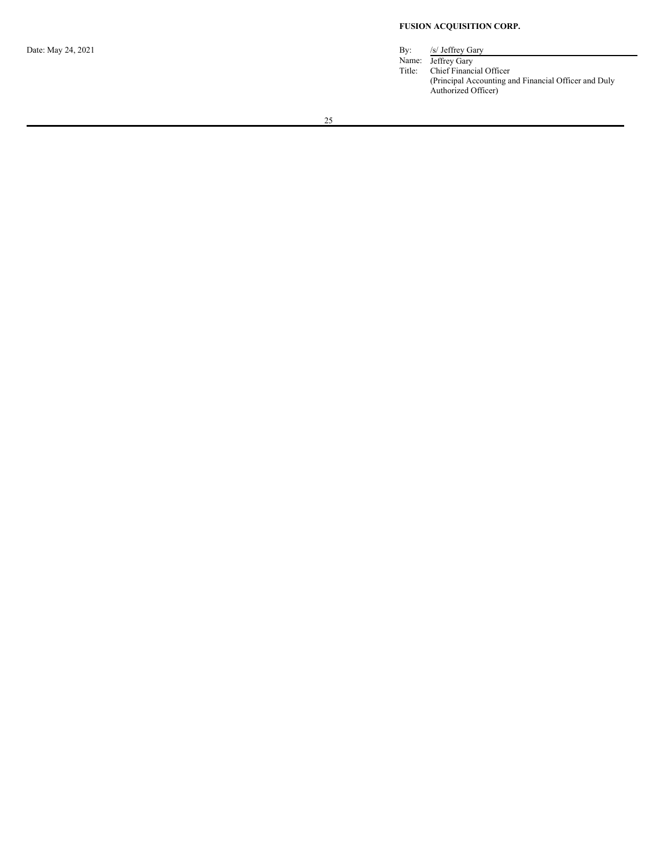### **FUSION ACQUISITION CORP.**

Date: May 24, 2021 By: /s/ Jeffrey Gary

Name: Jeffrey Gary Title: Chief Financial Officer (Principal Accounting and Financial Officer and Duly Authorized Officer)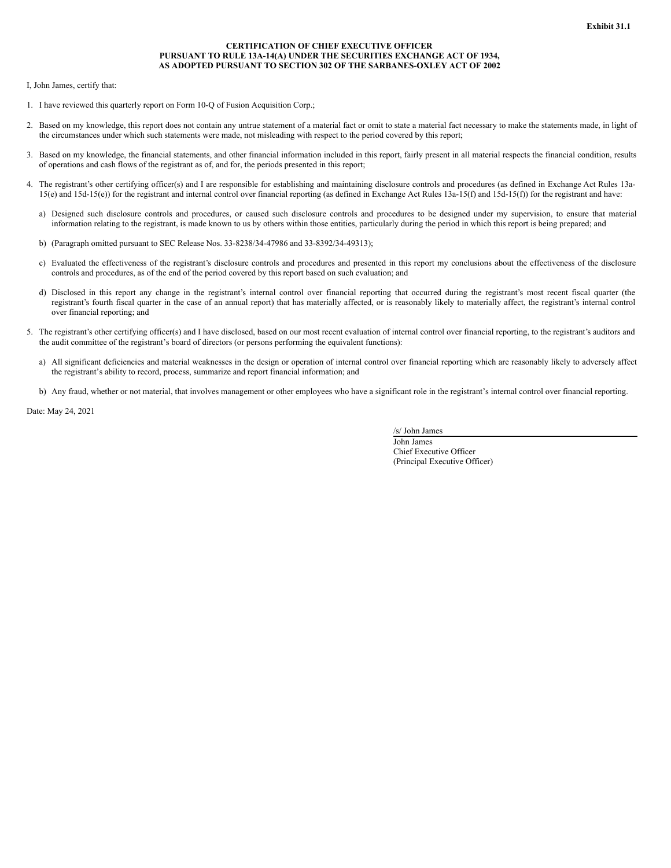### **CERTIFICATION OF CHIEF EXECUTIVE OFFICER PURSUANT TO RULE 13A-14(A) UNDER THE SECURITIES EXCHANGE ACT OF 1934, AS ADOPTED PURSUANT TO SECTION 302 OF THE SARBANES-OXLEY ACT OF 2002**

<span id="page-17-0"></span>I, John James, certify that:

- 1. I have reviewed this quarterly report on Form 10-Q of Fusion Acquisition Corp.;
- 2. Based on my knowledge, this report does not contain any untrue statement of a material fact or omit to state a material fact necessary to make the statements made, in light of the circumstances under which such statements were made, not misleading with respect to the period covered by this report;
- 3. Based on my knowledge, the financial statements, and other financial information included in this report, fairly present in all material respects the financial condition, results of operations and cash flows of the registrant as of, and for, the periods presented in this report;
- 4. The registrant's other certifying officer(s) and I are responsible for establishing and maintaining disclosure controls and procedures (as defined in Exchange Act Rules 13a-15(e) and 15d-15(e)) for the registrant and internal control over financial reporting (as defined in Exchange Act Rules 13a-15(f) and 15d-15(f)) for the registrant and have:
	- a) Designed such disclosure controls and procedures, or caused such disclosure controls and procedures to be designed under my supervision, to ensure that material information relating to the registrant, is made known to us by others within those entities, particularly during the period in which this report is being prepared; and
	- b) (Paragraph omitted pursuant to SEC Release Nos. 33-8238/34-47986 and 33-8392/34-49313);
	- c) Evaluated the effectiveness of the registrant's disclosure controls and procedures and presented in this report my conclusions about the effectiveness of the disclosure controls and procedures, as of the end of the period covered by this report based on such evaluation; and
	- d) Disclosed in this report any change in the registrant's internal control over financial reporting that occurred during the registrant's most recent fiscal quarter (the registrant's fourth fiscal quarter in the case of an annual report) that has materially affected, or is reasonably likely to materially affect, the registrant's internal control over financial reporting; and
- 5. The registrant's other certifying officer(s) and I have disclosed, based on our most recent evaluation of internal control over financial reporting, to the registrant's auditors and the audit committee of the registrant's board of directors (or persons performing the equivalent functions):
	- a) All significant deficiencies and material weaknesses in the design or operation of internal control over financial reporting which are reasonably likely to adversely affect the registrant's ability to record, process, summarize and report financial information; and
	- b) Any fraud, whether or not material, that involves management or other employees who have a significant role in the registrant's internal control over financial reporting.

Date: May 24, 2021

/s/ John James

John James Chief Executive Officer (Principal Executive Officer)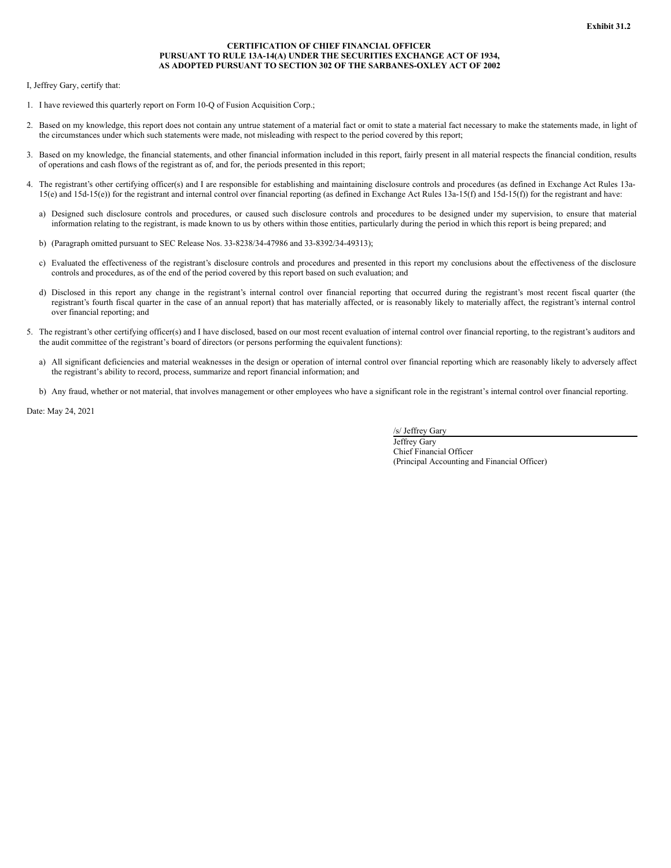### **CERTIFICATION OF CHIEF FINANCIAL OFFICER PURSUANT TO RULE 13A-14(A) UNDER THE SECURITIES EXCHANGE ACT OF 1934, AS ADOPTED PURSUANT TO SECTION 302 OF THE SARBANES-OXLEY ACT OF 2002**

<span id="page-18-0"></span>I, Jeffrey Gary, certify that:

- 1. I have reviewed this quarterly report on Form 10-Q of Fusion Acquisition Corp.;
- 2. Based on my knowledge, this report does not contain any untrue statement of a material fact or omit to state a material fact necessary to make the statements made, in light of the circumstances under which such statements were made, not misleading with respect to the period covered by this report;
- 3. Based on my knowledge, the financial statements, and other financial information included in this report, fairly present in all material respects the financial condition, results of operations and cash flows of the registrant as of, and for, the periods presented in this report;
- 4. The registrant's other certifying officer(s) and I are responsible for establishing and maintaining disclosure controls and procedures (as defined in Exchange Act Rules 13a-15(e) and 15d-15(e)) for the registrant and internal control over financial reporting (as defined in Exchange Act Rules 13a-15(f) and 15d-15(f)) for the registrant and have:
	- a) Designed such disclosure controls and procedures, or caused such disclosure controls and procedures to be designed under my supervision, to ensure that material information relating to the registrant, is made known to us by others within those entities, particularly during the period in which this report is being prepared; and
	- b) (Paragraph omitted pursuant to SEC Release Nos. 33-8238/34-47986 and 33-8392/34-49313);
	- c) Evaluated the effectiveness of the registrant's disclosure controls and procedures and presented in this report my conclusions about the effectiveness of the disclosure controls and procedures, as of the end of the period covered by this report based on such evaluation; and
	- d) Disclosed in this report any change in the registrant's internal control over financial reporting that occurred during the registrant's most recent fiscal quarter (the registrant's fourth fiscal quarter in the case of an annual report) that has materially affected, or is reasonably likely to materially affect, the registrant's internal control over financial reporting; and
- 5. The registrant's other certifying officer(s) and I have disclosed, based on our most recent evaluation of internal control over financial reporting, to the registrant's auditors and the audit committee of the registrant's board of directors (or persons performing the equivalent functions):
	- a) All significant deficiencies and material weaknesses in the design or operation of internal control over financial reporting which are reasonably likely to adversely affect the registrant's ability to record, process, summarize and report financial information; and
	- b) Any fraud, whether or not material, that involves management or other employees who have a significant role in the registrant's internal control over financial reporting.

Date: May 24, 2021

/s/ Jeffrey Gary

Jeffrey Gary Chief Financial Officer (Principal Accounting and Financial Officer)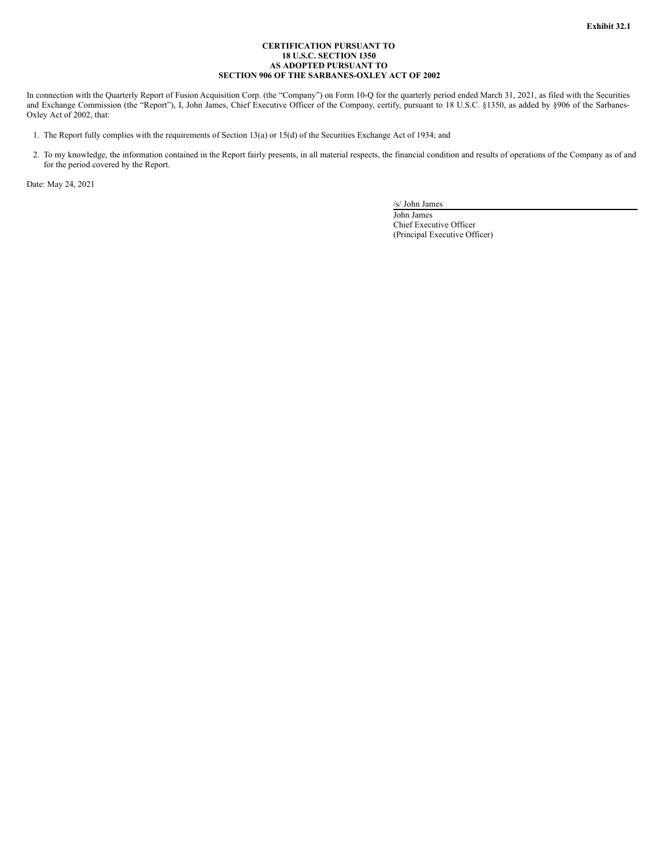### **CERTIFICATION PURSUANT TO 18 U.S.C. SECTION 1350 AS ADOPTED PURSUANT TO SECTION 906 OF THE SARBANES-OXLEY ACT OF 2002**

<span id="page-19-0"></span>In connection with the Quarterly Report of Fusion Acquisition Corp. (the "Company") on Form 10-Q for the quarterly period ended March 31, 2021, as filed with the Securities and Exchange Commission (the "Report"), I, John James, Chief Executive Officer of the Company, certify, pursuant to 18 U.S.C. §1350, as added by §906 of the Sarbanes-Oxley Act of 2002, that:

- 1. The Report fully complies with the requirements of Section 13(a) or 15(d) of the Securities Exchange Act of 1934; and
- 2. To my knowledge, the information contained in the Report fairly presents, in all material respects, the financial condition and results of operations of the Company as of and for the period covered by the Report.

Date: May 24, 2021

/s/ John James

John James Chief Executive Officer (Principal Executive Officer)